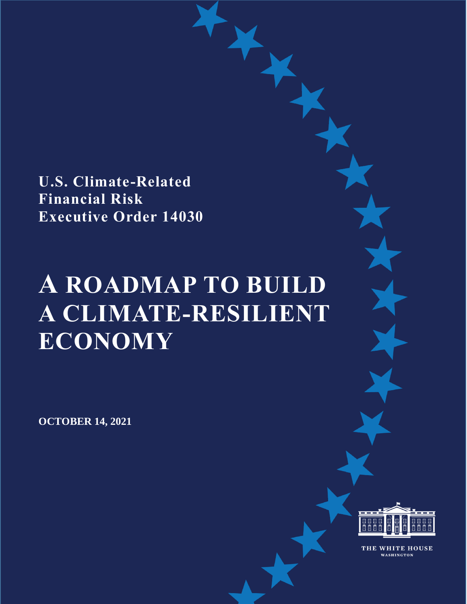**U.S. Climate-Related Financial Risk Executive Order 14030**

# **A ROADMAP TO BUILD A CLIMATE-RESILIENT ECONOMY**

**OCTOBER 14, 2021**



THE WHITE HOUSE WASHINGTON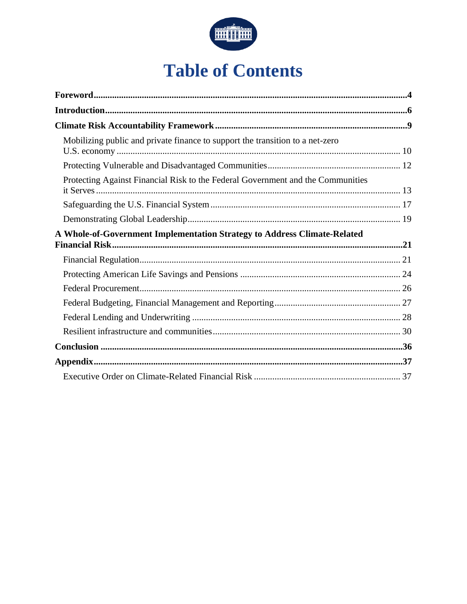

## **Table of Contents**

| Mobilizing public and private finance to support the transition to a net-zero   |  |
|---------------------------------------------------------------------------------|--|
|                                                                                 |  |
| Protecting Against Financial Risk to the Federal Government and the Communities |  |
|                                                                                 |  |
|                                                                                 |  |
| A Whole-of-Government Implementation Strategy to Address Climate-Related        |  |
|                                                                                 |  |
|                                                                                 |  |
|                                                                                 |  |
|                                                                                 |  |
|                                                                                 |  |
|                                                                                 |  |
|                                                                                 |  |
|                                                                                 |  |
|                                                                                 |  |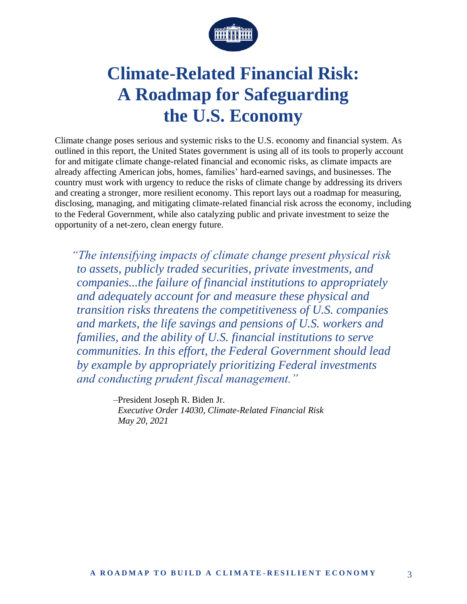

## **Climate-Related Financial Risk: A Roadmap for Safeguarding the U.S. Economy**

Climate change poses serious and systemic risks to the U.S. economy and financial system. As outlined in this report, the United States government is using all of its tools to properly account for and mitigate climate change-related financial and economic risks, as climate impacts are already affecting American jobs, homes, families' hard-earned savings, and businesses. The country must work with urgency to reduce the risks of climate change by addressing its drivers and creating a stronger, more resilient economy. This report lays out a roadmap for measuring, disclosing, managing, and mitigating climate-related financial risk across the economy, including to the Federal Government, while also catalyzing public and private investment to seize the opportunity of a net-zero, clean energy future.

*"The intensifying impacts of climate change present physical risk to assets, publicly traded securities, private investments, and companies...the failure of financial institutions to appropriately and adequately account for and measure these physical and transition risks threatens the competitiveness of U.S. companies and markets, the life savings and pensions of U.S. workers and families, and the ability of U.S. financial institutions to serve communities. In this effort, the Federal Government should lead by example by appropriately prioritizing Federal investments and conducting prudent fiscal management."*

> *–*President Joseph R. Biden Jr. *Executive Order 14030, Climate-Related Financial Risk May 20, 2021*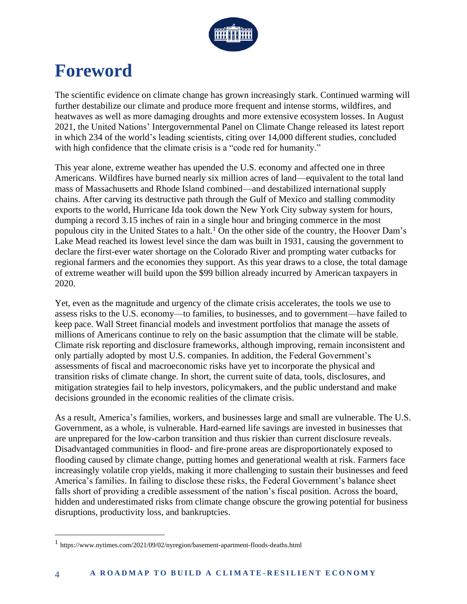

## **Foreword**

The scientific evidence on climate change has grown increasingly stark. Continued warming will further destabilize our climate and produce more frequent and intense storms, wildfires, and heatwaves as well as more damaging droughts and more extensive ecosystem losses. In August 2021, the United Nations' Intergovernmental Panel on Climate Change released its latest report in which 234 of the world's leading scientists, citing over 14,000 different studies, concluded with high confidence that the climate crisis is a "code red for humanity."

This year alone, extreme weather has upended the U.S. economy and affected one in three Americans. Wildfires have burned nearly six million acres of land—equivalent to the total land mass of Massachusetts and Rhode Island combined—and destabilized international supply chains. After carving its destructive path through the Gulf of Mexico and stalling commodity exports to the world, Hurricane Ida took down the New York City subway system for hours, dumping a record 3.15 inches of rain in a single hour and bringing commerce in the most populous city in the United States to a halt.<sup>1</sup> On the other side of the country, the Hoover Dam's Lake Mead reached its lowest level since the dam was built in 1931, causing the government to declare the first-ever water shortage on the Colorado River and prompting water cutbacks for regional farmers and the economies they support. As this year draws to a close, the total damage of extreme weather will build upon the \$99 billion already incurred by American taxpayers in 2020.

Yet, even as the magnitude and urgency of the climate crisis accelerates, the tools we use to assess risks to the U.S. economy—to families, to businesses, and to government—have failed to keep pace. Wall Street financial models and investment portfolios that manage the assets of millions of Americans continue to rely on the basic assumption that the climate will be stable. Climate risk reporting and disclosure frameworks, although improving, remain inconsistent and only partially adopted by most U.S. companies. In addition, the Federal Government's assessments of fiscal and macroeconomic risks have yet to incorporate the physical and transition risks of climate change. In short, the current suite of data, tools, disclosures, and mitigation strategies fail to help investors, policymakers, and the public understand and make decisions grounded in the economic realities of the climate crisis.

As a result, America's families, workers, and businesses large and small are vulnerable. The U.S. Government, as a whole, is vulnerable. Hard-earned life savings are invested in businesses that are unprepared for the low-carbon transition and thus riskier than current disclosure reveals. Disadvantaged communities in flood- and fire-prone areas are disproportionately exposed to flooding caused by climate change, putting homes and generational wealth at risk. Farmers face increasingly volatile crop yields, making it more challenging to sustain their businesses and feed America's families. In failing to disclose these risks, the Federal Government's balance sheet falls short of providing a credible assessment of the nation's fiscal position. Across the board, hidden and underestimated risks from climate change obscure the growing potential for business disruptions, productivity loss, and bankruptcies.

<sup>1</sup> https://www.nytimes.com/2021/09/02/nyregion/basement-apartment-floods-deaths.html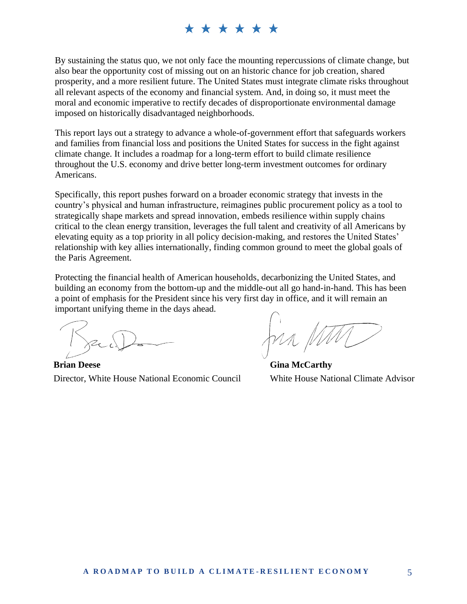By sustaining the status quo, we not only face the mounting repercussions of climate change, but also bear the opportunity cost of missing out on an historic chance for job creation, shared prosperity, and a more resilient future. The United States must integrate climate risks throughout all relevant aspects of the economy and financial system. And, in doing so, it must meet the moral and economic imperative to rectify decades of disproportionate environmental damage imposed on historically disadvantaged neighborhoods.

This report lays out a strategy to advance a whole-of-government effort that safeguards workers and families from financial loss and positions the United States for success in the fight against climate change. It includes a roadmap for a long-term effort to build climate resilience throughout the U.S. economy and drive better long-term investment outcomes for ordinary Americans.

Specifically, this report pushes forward on a broader economic strategy that invests in the country's physical and human infrastructure, reimagines public procurement policy as a tool to strategically shape markets and spread innovation, embeds resilience within supply chains critical to the clean energy transition, leverages the full talent and creativity of all Americans by elevating equity as a top priority in all policy decision-making, and restores the United States' relationship with key allies internationally, finding common ground to meet the global goals of the Paris Agreement.

Protecting the financial health of American households, decarbonizing the United States, and building an economy from the bottom-up and the middle-out all go hand-in-hand. This has been a point of emphasis for the President since his very first day in office, and it will remain an important unifying theme in the days ahead.

**Brian Deese** Director, White House National Economic Council

Jun p

**Gina McCarthy** White House National Climate Advisor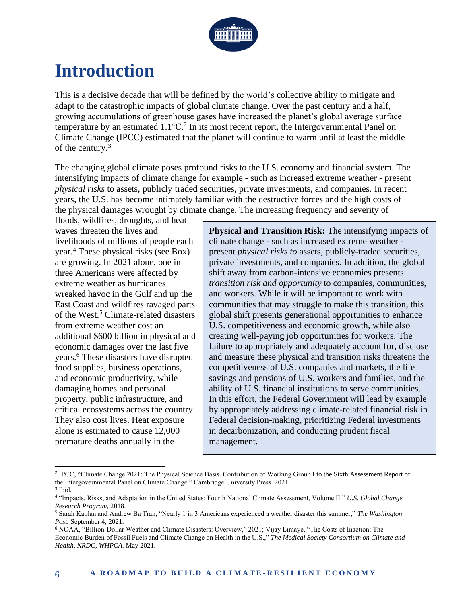

## **Introduction**

This is a decisive decade that will be defined by the world's collective ability to mitigate and adapt to the catastrophic impacts of global climate change. Over the past century and a half, growing accumulations of greenhouse gases have increased the planet's global average surface temperature by an estimated  $1.1^{\circ}$ C.<sup>2</sup> In its most recent report, the Intergovernmental Panel on Climate Change (IPCC) estimated that the planet will continue to warm until at least the middle of the century.<sup>3</sup>

The changing global climate poses profound risks to the U.S. economy and financial system. The intensifying impacts of climate change for example - such as increased extreme weather - present *physical risks* to assets, publicly traded securities, private investments, and companies. In recent years, the U.S. has become intimately familiar with the destructive forces and the high costs of the physical damages wrought by climate change. The increasing frequency and severity of

floods, wildfires, droughts, and heat waves threaten the lives and livelihoods of millions of people each year.<sup>4</sup> These physical risks (see Box) are growing. In 2021 alone, one in three Americans were affected by extreme weather as hurricanes wreaked havoc in the Gulf and up the East Coast and wildfires ravaged parts of the West.<sup>5</sup> Climate-related disasters from extreme weather cost an additional \$600 billion in physical and economic damages over the last five years.<sup>6</sup> These disasters have disrupted food supplies, business operations, and economic productivity, while damaging homes and personal property, public infrastructure, and critical ecosystems across the country. They also cost lives. Heat exposure alone is estimated to cause 12,000 premature deaths annually in the

**Physical and Transition Risk:** The intensifying impacts of climate change - such as increased extreme weather present *physical risks to* assets, publicly-traded securities, private investments, and companies. In addition, the global shift away from carbon-intensive economies presents *transition risk and opportunity* to companies, communities, and workers. While it will be important to work with communities that may struggle to make this transition, this global shift presents generational opportunities to enhance U.S. competitiveness and economic growth, while also creating well-paying job opportunities for workers. The failure to appropriately and adequately account for, disclose and measure these physical and transition risks threatens the competitiveness of U.S. companies and markets, the life savings and pensions of U.S. workers and families, and the ability of U.S. financial institutions to serve communities. In this effort, the Federal Government will lead by example by appropriately addressing climate-related financial risk in Federal decision-making, prioritizing Federal investments in decarbonization, and conducting prudent fiscal management.

<sup>&</sup>lt;sup>2</sup> IPCC, "Climate Change 2021: The Physical Science Basis. Contribution of Working Group I to the Sixth Assessment Report of the Intergovernmental Panel on Climate Change." Cambridge University Press. 2021.

<sup>3</sup> Ibid.

<sup>4</sup> "Impacts, Risks, and Adaptation in the United States: Fourth National Climate Assessment, Volume II." *U.S. Global Change Research Program,* 2018.

<sup>5</sup> Sarah Kaplan and Andrew Ba Tran, "Nearly 1 in 3 Americans experienced a weather disaster this summer," *The Washington Post.* September 4, 2021.

<sup>6</sup> NOAA, "Billion-Dollar Weather and Climate Disasters: Overview," 2021; Vijay Limaye, "The Costs of Inaction: The Economic Burden of Fossil Fuels and Climate Change on Health in the U.S.," *The Medical Society Consortium on Climate and Health, NRDC, WHPCA.* May 2021.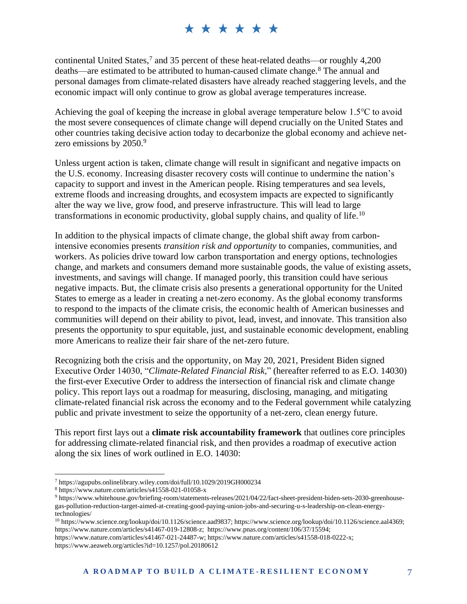continental United States, 7 and 35 percent of these heat-related deaths—or roughly 4,200 deaths—are estimated to be attributed to human-caused climate change.<sup>8</sup> The annual and personal damages from climate-related disasters have already reached staggering levels, and the economic impact will only continue to grow as global average temperatures increase.

Achieving the goal of keeping the increase in global average temperature below 1.5℃ to avoid the most severe consequences of climate change will depend crucially on the United States and other countries taking decisive action today to decarbonize the global economy and achieve netzero emissions by 2050.<sup>9</sup>

Unless urgent action is taken, climate change will result in significant and negative impacts on the U.S. economy. Increasing disaster recovery costs will continue to undermine the nation's capacity to support and invest in the American people. Rising temperatures and sea levels, extreme floods and increasing droughts, and ecosystem impacts are expected to significantly alter the way we live, grow food, and preserve infrastructure. This will lead to large transformations in economic productivity, global supply chains, and quality of life.<sup>10</sup>

In addition to the physical impacts of climate change, the global shift away from carbonintensive economies presents *transition risk and opportunity* to companies, communities, and workers. As policies drive toward low carbon transportation and energy options, technologies change, and markets and consumers demand more sustainable goods, the value of existing assets, investments, and savings will change. If managed poorly, this transition could have serious negative impacts. But, the climate crisis also presents a generational opportunity for the United States to emerge as a leader in creating a net-zero economy. As the global economy transforms to respond to the impacts of the climate crisis, the economic health of American businesses and communities will depend on their ability to pivot, lead, invest, and innovate. This transition also presents the opportunity to spur equitable, just, and sustainable economic development, enabling more Americans to realize their fair share of the net-zero future.

Recognizing both the crisis and the opportunity, on May 20, 2021, President Biden signed Executive Order 14030, "*Climate-Related Financial Risk,*" (hereafter referred to as E.O. 14030) the first-ever Executive Order to address the intersection of financial risk and climate change policy. This report lays out a roadmap for measuring, disclosing, managing, and mitigating climate-related financial risk across the economy and to the Federal government while catalyzing public and private investment to seize the opportunity of a net-zero, clean energy future.

This report first lays out a **climate risk accountability framework** that outlines core principles for addressing climate-related financial risk, and then provides a roadmap of executive action along the six lines of work outlined in E.O. 14030:

<sup>7</sup> https://agupubs.onlinelibrary.wiley.com/doi/full/10.1029/2019GH000234

<sup>8</sup> https://www.nature.com/articles/s41558-021-01058-x

<sup>9</sup> https://www.whitehouse.gov/briefing-room/statements-releases/2021/04/22/fact-sheet-president-biden-sets-2030-greenhousegas-pollution-reduction-target-aimed-at-creating-good-paying-union-jobs-and-securing-u-s-leadership-on-clean-energytechnologies/

<sup>10</sup> https://www.science.org/lookup/doi/10.1126/science.aad9837; https://www.science.org/lookup/doi/10.1126/science.aal4369; https://www.nature.com/articles/s41467-019-12808-z; https://www.pnas.org/content/106/37/15594;

https://www.nature.com/articles/s41467-021-24487-w; https://www.nature.com/articles/s41558-018-0222-x; https://www.aeaweb.org/articles?id=10.1257/pol.20180612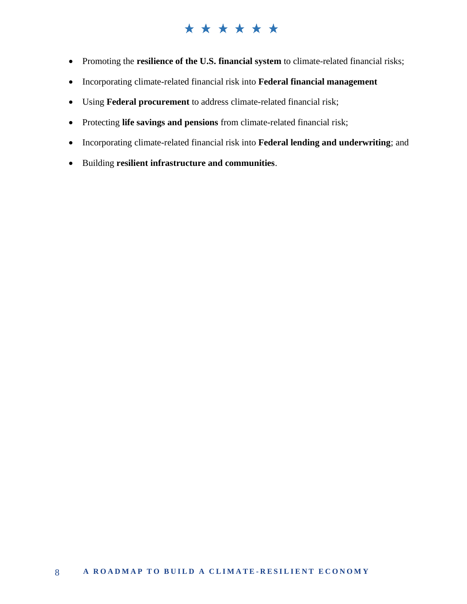- Promoting the **resilience of the U.S. financial system** to climate-related financial risks;
- Incorporating climate-related financial risk into **Federal financial management**
- Using **Federal procurement** to address climate-related financial risk;
- Protecting **life savings and pensions** from climate-related financial risk;
- Incorporating climate-related financial risk into **Federal lending and underwriting**; and
- Building **resilient infrastructure and communities**.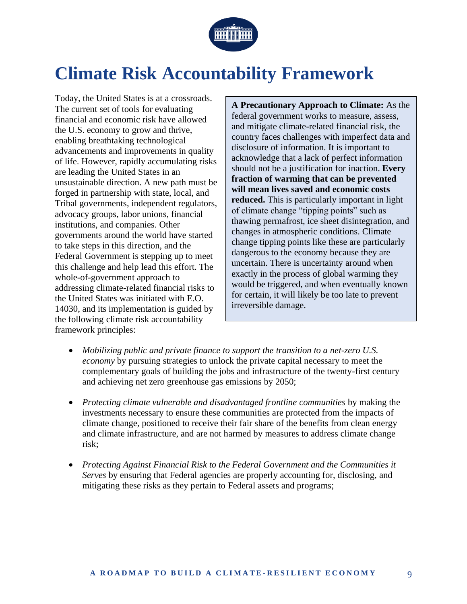

## **Climate Risk Accountability Framework**

Today, the United States is at a crossroads. The current set of tools for evaluating financial and economic risk have allowed the U.S. economy to grow and thrive, enabling breathtaking technological advancements and improvements in quality of life. However, rapidly accumulating risks are leading the United States in an unsustainable direction. A new path must be forged in partnership with state, local, and Tribal governments, independent regulators, advocacy groups, labor unions, financial institutions, and companies. Other governments around the world have started to take steps in this direction, and the Federal Government is stepping up to meet this challenge and help lead this effort. The whole-of-government approach to addressing climate-related financial risks to the United States was initiated with E.O. 14030, and its implementation is guided by the following climate risk accountability framework principles:

**A Precautionary Approach to Climate:** As the federal government works to measure, assess, and mitigate climate-related financial risk, the country faces challenges with imperfect data and disclosure of information. It is important to acknowledge that a lack of perfect information should not be a justification for inaction. **Every fraction of warming that can be prevented will mean lives saved and economic costs reduced.** This is particularly important in light of climate change "tipping points" such as thawing permafrost, ice sheet disintegration, and changes in atmospheric conditions. Climate change tipping points like these are particularly dangerous to the economy because they are uncertain. There is uncertainty around when exactly in the process of global warming they would be triggered, and when eventually known for certain, it will likely be too late to prevent irreversible damage.

- *Mobilizing public and private finance to support the transition to a net-zero U.S. economy* by pursuing strategies to unlock the private capital necessary to meet the complementary goals of building the jobs and infrastructure of the twenty-first century and achieving net zero greenhouse gas emissions by 2050;
- *Protecting climate vulnerable and disadvantaged frontline communities* by making the investments necessary to ensure these communities are protected from the impacts of climate change, positioned to receive their fair share of the benefits from clean energy and climate infrastructure, and are not harmed by measures to address climate change risk;
- *Protecting Against Financial Risk to the Federal Government and the Communities it Serves* by ensuring that Federal agencies are properly accounting for, disclosing, and mitigating these risks as they pertain to Federal assets and programs;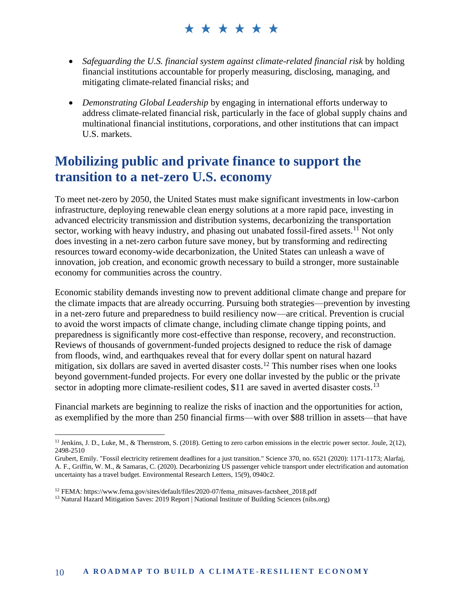- *Safeguarding the U.S. financial system against climate-related financial risk* by holding financial institutions accountable for properly measuring, disclosing, managing, and mitigating climate-related financial risks; and
- *Demonstrating Global Leadership* by engaging in international efforts underway to address climate-related financial risk, particularly in the face of global supply chains and multinational financial institutions, corporations, and other institutions that can impact U.S. markets.

### **Mobilizing public and private finance to support the transition to a net-zero U.S. economy**

To meet net-zero by 2050, the United States must make significant investments in low-carbon infrastructure, deploying renewable clean energy solutions at a more rapid pace, investing in advanced electricity transmission and distribution systems, decarbonizing the transportation sector, working with heavy industry, and phasing out unabated fossil-fired assets.<sup>11</sup> Not only does investing in a net-zero carbon future save money, but by transforming and redirecting resources toward economy-wide decarbonization, the United States can unleash a wave of innovation, job creation, and economic growth necessary to build a stronger, more sustainable economy for communities across the country.

Economic stability demands investing now to prevent additional climate change and prepare for the climate impacts that are already occurring. Pursuing both strategies—prevention by investing in a net-zero future and preparedness to build resiliency now—are critical. Prevention is crucial to avoid the worst impacts of climate change, including climate change tipping points, and preparedness is significantly more cost-effective than response, recovery, and reconstruction. Reviews of thousands of government-funded projects designed to reduce the risk of damage from floods, wind, and earthquakes reveal that for every dollar spent on natural hazard mitigation, six dollars are saved in averted disaster costs.<sup>12</sup> This number rises when one looks beyond government-funded projects. For every one dollar invested by the public or the private sector in adopting more climate-resilient codes, \$11 are saved in averted disaster costs.<sup>13</sup>

Financial markets are beginning to realize the risks of inaction and the opportunities for action, as exemplified by the more than 250 financial firms—with over \$88 trillion in assets—that have

<sup>&</sup>lt;sup>11</sup> Jenkins, J. D., Luke, M., & Thernstrom, S. (2018). Getting to zero carbon emissions in the electric power sector. Joule,  $2(12)$ , 2498-2510

Grubert, Emily. "Fossil electricity retirement deadlines for a just transition." Science 370, no. 6521 (2020): 1171-1173; Alarfaj, A. F., Griffin, W. M., & Samaras, C. (2020). Decarbonizing US passenger vehicle transport under electrification and automation uncertainty has a travel budget. Environmental Research Letters, 15(9), 0940c2.

<sup>&</sup>lt;sup>12</sup> FEMA: https://www.fema.gov/sites/default/files/2020-07/fema\_mitsaves-factsheet\_2018.pdf

<sup>&</sup>lt;sup>13</sup> Natural Hazard Mitigation Saves: 2019 Report | National Institute of Building Sciences (nibs.org)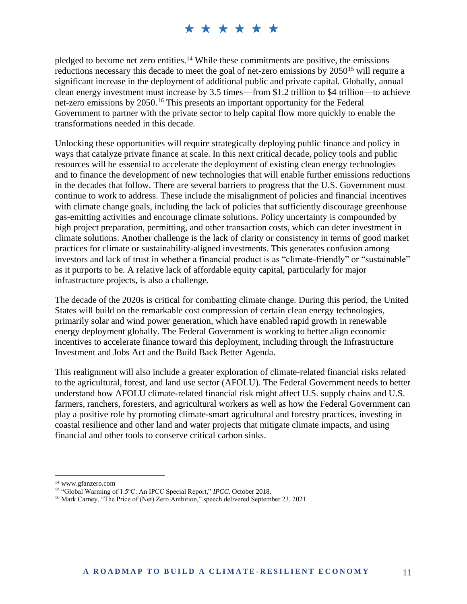pledged to become net zero entities.<sup>14</sup> While these commitments are positive, the emissions reductions necessary this decade to meet the goal of net-zero emissions by 2050<sup>15</sup> will require a significant increase in the deployment of additional public and private capital. Globally, annual clean energy investment must increase by 3.5 times—from \$1.2 trillion to \$4 trillion—to achieve net-zero emissions by 2050. <sup>16</sup> This presents an important opportunity for the Federal Government to partner with the private sector to help capital flow more quickly to enable the transformations needed in this decade.

Unlocking these opportunities will require strategically deploying public finance and policy in ways that catalyze private finance at scale. In this next critical decade, policy tools and public resources will be essential to accelerate the deployment of existing clean energy technologies and to finance the development of new technologies that will enable further emissions reductions in the decades that follow. There are several barriers to progress that the U.S. Government must continue to work to address. These include the misalignment of policies and financial incentives with climate change goals, including the lack of policies that sufficiently discourage greenhouse gas-emitting activities and encourage climate solutions. Policy uncertainty is compounded by high project preparation, permitting, and other transaction costs, which can deter investment in climate solutions. Another challenge is the lack of clarity or consistency in terms of good market practices for climate or sustainability-aligned investments. This generates confusion among investors and lack of trust in whether a financial product is as "climate-friendly" or "sustainable" as it purports to be. A relative lack of affordable equity capital, particularly for major infrastructure projects, is also a challenge.

The decade of the 2020s is critical for combatting climate change. During this period, the United States will build on the remarkable cost compression of certain clean energy technologies, primarily solar and wind power generation, which have enabled rapid growth in renewable energy deployment globally. The Federal Government is working to better align economic incentives to accelerate finance toward this deployment, including through the Infrastructure Investment and Jobs Act and the Build Back Better Agenda.

This realignment will also include a greater exploration of climate-related financial risks related to the agricultural, forest, and land use sector (AFOLU). The Federal Government needs to better understand how AFOLU climate-related financial risk might affect U.S. supply chains and U.S. farmers, ranchers, foresters, and agricultural workers as well as how the Federal Government can play a positive role by promoting climate-smart agricultural and forestry practices, investing in coastal resilience and other land and water projects that mitigate climate impacts, and using financial and other tools to conserve critical carbon sinks.

<sup>14</sup> www.gfanzero.com

<sup>15</sup> "Global Warming of 1.5<sup>o</sup>C: An IPCC Special Report," *IPCC*. October 2018.

<sup>&</sup>lt;sup>16</sup> Mark Carney, "The Price of (Net) Zero Ambition," speech delivered September 23, 2021.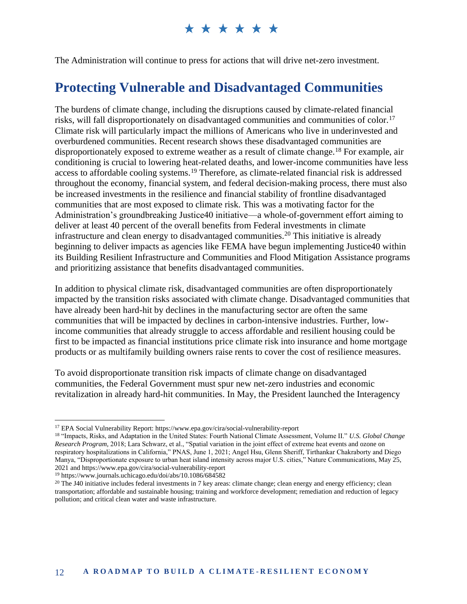The Administration will continue to press for actions that will drive net-zero investment.

### **Protecting Vulnerable and Disadvantaged Communities**

The burdens of climate change, including the disruptions caused by climate-related financial risks, will fall disproportionately on disadvantaged communities and communities of color.<sup>17</sup> Climate risk will particularly impact the millions of Americans who live in underinvested and overburdened communities. Recent research shows these disadvantaged communities are disproportionately exposed to extreme weather as a result of climate change.<sup>18</sup> For example, air conditioning is crucial to lowering heat-related deaths, and lower-income communities have less access to affordable cooling systems.<sup>19</sup> Therefore, as climate-related financial risk is addressed throughout the economy, financial system, and federal decision-making process, there must also be increased investments in the resilience and financial stability of frontline disadvantaged communities that are most exposed to climate risk. This was a motivating factor for the Administration's groundbreaking Justice40 initiative—a whole-of-government effort aiming to deliver at least 40 percent of the overall benefits from Federal investments in climate infrastructure and clean energy to disadvantaged communities.<sup>20</sup> This initiative is already beginning to deliver impacts as agencies like FEMA have begun implementing Justice40 within its Building Resilient Infrastructure and Communities and Flood Mitigation Assistance programs and prioritizing assistance that benefits disadvantaged communities.

In addition to physical climate risk, disadvantaged communities are often disproportionately impacted by the transition risks associated with climate change. Disadvantaged communities that have already been hard-hit by declines in the manufacturing sector are often the same communities that will be impacted by declines in carbon-intensive industries. Further, lowincome communities that already struggle to access affordable and resilient housing could be first to be impacted as financial institutions price climate risk into insurance and home mortgage products or as multifamily building owners raise rents to cover the cost of resilience measures.

To avoid disproportionate transition risk impacts of climate change on disadvantaged communities, the Federal Government must spur new net-zero industries and economic revitalization in already hard-hit communities. In May, the President launched the Interagency

<sup>17</sup> EPA Social Vulnerability Report: https://www.epa.gov/cira/social-vulnerability-report

<sup>18</sup> "Impacts, Risks, and Adaptation in the United States: Fourth National Climate Assessment, Volume II." *U.S. Global Change Research Program,* 2018; Lara Schwarz, et al., "Spatial variation in the joint effect of extreme heat events and ozone on respiratory hospitalizations in California," PNAS, June 1, 2021; Angel Hsu, Glenn Sheriff, Tirthankar Chakraborty and Diego Manya, "Disproportionate exposure to urban heat island intensity across major U.S. cities," Nature Communications, May 25, 2021 and https://www.epa.gov/cira/social-vulnerability-report

<sup>19</sup> https://www.journals.uchicago.edu/doi/abs/10.1086/684582

<sup>&</sup>lt;sup>20</sup> The J40 initiative includes federal investments in 7 key areas: climate change; clean energy and energy efficiency; clean transportation; affordable and sustainable housing; training and workforce development; remediation and reduction of legacy pollution; and critical clean water and waste infrastructure.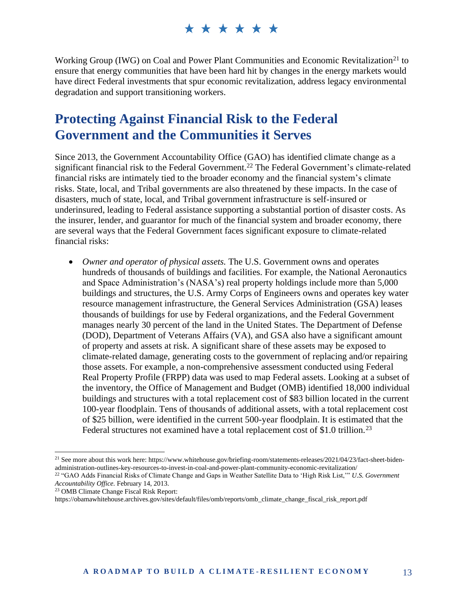Working Group (IWG) on Coal and Power Plant Communities and Economic Revitalization<sup>21</sup> to ensure that energy communities that have been hard hit by changes in the energy markets would have direct Federal investments that spur economic revitalization, address legacy environmental degradation and support transitioning workers.

### **Protecting Against Financial Risk to the Federal Government and the Communities it Serves**

Since 2013, the Government Accountability Office (GAO) has identified climate change as a significant financial risk to the Federal Government.<sup>22</sup> The Federal Government's climate-related financial risks are intimately tied to the broader economy and the financial system's climate risks. State, local, and Tribal governments are also threatened by these impacts. In the case of disasters, much of state, local, and Tribal government infrastructure is self-insured or underinsured, leading to Federal assistance supporting a substantial portion of disaster costs. As the insurer, lender, and guarantor for much of the financial system and broader economy, there are several ways that the Federal Government faces significant exposure to climate-related financial risks:

• *Owner and operator of physical assets.* The U.S. Government owns and operates hundreds of thousands of buildings and facilities. For example, the National Aeronautics and Space Administration's (NASA's) real property holdings include more than 5,000 buildings and structures, the U.S. Army Corps of Engineers owns and operates key water resource management infrastructure, the General Services Administration (GSA) leases thousands of buildings for use by Federal organizations, and the Federal Government manages nearly 30 percent of the land in the United States. The Department of Defense (DOD), Department of Veterans Affairs (VA), and GSA also have a significant amount of property and assets at risk. A significant share of these assets may be exposed to climate-related damage, generating costs to the government of replacing and/or repairing those assets. For example, a non-comprehensive assessment conducted using Federal Real Property Profile (FRPP) data was used to map Federal assets. Looking at a subset of the inventory, the Office of Management and Budget (OMB) identified 18,000 individual buildings and structures with a total replacement cost of \$83 billion located in the current 100-year floodplain. Tens of thousands of additional assets, with a total replacement cost of \$25 billion, were identified in the current 500-year floodplain. It is estimated that the Federal structures not examined have a total replacement cost of \$1.0 trillion.<sup>23</sup>

<sup>23</sup> OMB Climate Change Fiscal Risk Report:

<sup>&</sup>lt;sup>21</sup> See more about this work here: https://www.whitehouse.gov/briefing-room/statements-releases/2021/04/23/fact-sheet-bidenadministration-outlines-key-resources-to-invest-in-coal-and-power-plant-community-economic-revitalization/

<sup>22</sup> "GAO Adds Financial Risks of Climate Change and Gaps in Weather Satellite Data to 'High Risk List,'" *U.S. Government Accountability Office.* February 14, 2013.

https://obamawhitehouse.archives.gov/sites/default/files/omb/reports/omb\_climate\_change\_fiscal\_risk\_report.pdf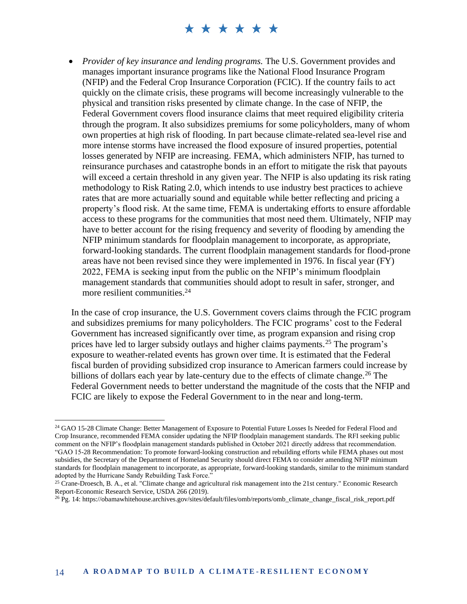• *Provider of key insurance and lending programs.* The U.S. Government provides and manages important insurance programs like the National Flood Insurance Program (NFIP) and the Federal Crop Insurance Corporation (FCIC). If the country fails to act quickly on the climate crisis, these programs will become increasingly vulnerable to the physical and transition risks presented by climate change. In the case of NFIP, the Federal Government covers flood insurance claims that meet required eligibility criteria through the program. It also subsidizes premiums for some policyholders, many of whom own properties at high risk of flooding. In part because climate-related sea-level rise and more intense storms have increased the flood exposure of insured properties, potential losses generated by NFIP are increasing. FEMA, which administers NFIP, has turned to reinsurance purchases and catastrophe bonds in an effort to mitigate the risk that payouts will exceed a certain threshold in any given year. The NFIP is also updating its risk rating methodology to Risk Rating 2.0, which intends to use industry best practices to achieve rates that are more actuarially sound and equitable while better reflecting and pricing a property's flood risk. At the same time, FEMA is undertaking efforts to ensure affordable access to these programs for the communities that most need them. Ultimately, NFIP may have to better account for the rising frequency and severity of flooding by amending the NFIP minimum standards for floodplain management to incorporate, as appropriate, forward-looking standards. The current floodplain management standards for flood-prone areas have not been revised since they were implemented in 1976. In fiscal year (FY) 2022, FEMA is seeking input from the public on the NFIP's minimum floodplain management standards that communities should adopt to result in safer, stronger, and more resilient communities.<sup>24</sup>

In the case of crop insurance, the U.S. Government covers claims through the FCIC program and subsidizes premiums for many policyholders. The FCIC programs' cost to the Federal Government has increased significantly over time, as program expansion and rising crop prices have led to larger subsidy outlays and higher claims payments.<sup>25</sup> The program's exposure to weather-related events has grown over time. It is estimated that the Federal fiscal burden of providing subsidized crop insurance to American farmers could increase by billions of dollars each year by late-century due to the effects of climate change.<sup>26</sup> The Federal Government needs to better understand the magnitude of the costs that the NFIP and FCIC are likely to expose the Federal Government to in the near and long-term.

<sup>&</sup>lt;sup>24</sup> GAO 15-28 Climate Change: Better Management of Exposure to Potential Future Losses Is Needed for Federal Flood and Crop Insurance, recommended FEMA consider updating the NFIP floodplain management standards. The RFI seeking public comment on the NFIP's floodplain management standards published in October 2021 directly address that recommendation. "GAO 15-28 Recommendation: To promote forward-looking construction and rebuilding efforts while FEMA phases out most subsidies, the Secretary of the Department of Homeland Security should direct FEMA to consider amending NFIP minimum standards for floodplain management to incorporate, as appropriate, forward-looking standards, similar to the minimum standard adopted by the Hurricane Sandy Rebuilding Task Force."

<sup>&</sup>lt;sup>25</sup> Crane-Droesch, B. A., et al. "Climate change and agricultural risk management into the 21st century." Economic Research Report-Economic Research Service, USDA 266 (2019).

 $^{26}$  Pg. 14: https://obamawhitehouse.archives.gov/sites/default/files/omb/reports/omb\_climate\_change\_fiscal\_risk\_report.pdf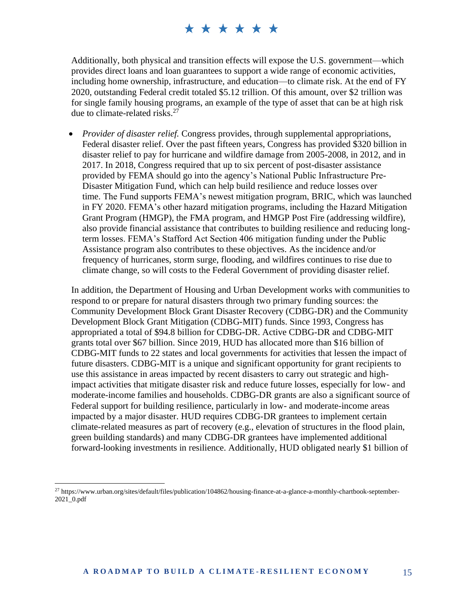Additionally, both physical and transition effects will expose the U.S. government—which provides direct loans and loan guarantees to support a wide range of economic activities, including home ownership, infrastructure, and education—to climate risk. At the end of FY 2020, outstanding Federal credit totaled \$5.12 trillion. Of this amount, over \$2 trillion was for single family housing programs, an example of the type of asset that can be at high risk due to climate-related risks. $27$ 

• *Provider of disaster relief.* Congress provides, through supplemental appropriations, Federal disaster relief. Over the past fifteen years, Congress has provided \$320 billion in disaster relief to pay for hurricane and wildfire damage from 2005-2008, in 2012, and in 2017. In 2018, Congress required that up to six percent of post-disaster assistance provided by FEMA should go into the agency's National Public Infrastructure Pre-Disaster Mitigation Fund, which can help build resilience and reduce losses over time. The Fund supports FEMA's newest mitigation program, BRIC, which was launched in FY 2020. FEMA's other hazard mitigation programs, including the Hazard Mitigation Grant Program (HMGP), the FMA program, and HMGP Post Fire (addressing wildfire), also provide financial assistance that contributes to building resilience and reducing longterm losses. FEMA's Stafford Act Section 406 mitigation funding under the Public Assistance program also contributes to these objectives. As the incidence and/or frequency of hurricanes, storm surge, flooding, and wildfires continues to rise due to climate change, so will costs to the Federal Government of providing disaster relief.

In addition, the Department of Housing and Urban Development works with communities to respond to or prepare for natural disasters through two primary funding sources: the Community Development Block Grant Disaster Recovery (CDBG-DR) and the Community Development Block Grant Mitigation (CDBG-MIT) funds. Since 1993, Congress has appropriated a total of \$94.8 billion for CDBG-DR. Active CDBG-DR and CDBG-MIT grants total over \$67 billion. Since 2019, HUD has allocated more than \$16 billion of CDBG-MIT funds to 22 states and local governments for activities that lessen the impact of future disasters. CDBG-MIT is a unique and significant opportunity for grant recipients to use this assistance in areas impacted by recent disasters to carry out strategic and highimpact activities that mitigate disaster risk and reduce future losses, especially for low- and moderate-income families and households. CDBG-DR grants are also a significant source of Federal support for building resilience, particularly in low- and moderate-income areas impacted by a major disaster. HUD requires CDBG-DR grantees to implement certain climate-related measures as part of recovery (e.g., elevation of structures in the flood plain, green building standards) and many CDBG-DR grantees have implemented additional forward-looking investments in resilience. Additionally, HUD obligated nearly \$1 billion of

<sup>27</sup> https://www.urban.org/sites/default/files/publication/104862/housing-finance-at-a-glance-a-monthly-chartbook-september- $2021$ <sup>o.pdf</sup>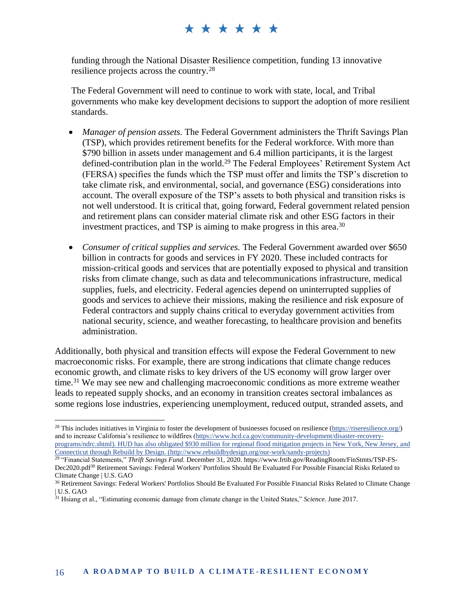funding through the National Disaster Resilience competition, funding 13 innovative resilience projects across the country.<sup>28</sup>

The Federal Government will need to continue to work with state, local, and Tribal governments who make key development decisions to support the adoption of more resilient standards.

- *Manager of pension assets.* The Federal Government administers the Thrift Savings Plan (TSP), which provides retirement benefits for the Federal workforce. With more than \$790 billion in assets under management and 6.4 million participants, it is the largest defined-contribution plan in the world.<sup>29</sup> The Federal Employees' Retirement System Act (FERSA) specifies the funds which the TSP must offer and limits the TSP's discretion to take climate risk, and environmental, social, and governance (ESG) considerations into account. The overall exposure of the TSP's assets to both physical and transition risks is not well understood. It is critical that, going forward, Federal government related pension and retirement plans can consider material climate risk and other ESG factors in their investment practices, and TSP is aiming to make progress in this area. 30
- *Consumer of critical supplies and services.* The Federal Government awarded over \$650 billion in contracts for goods and services in FY 2020. These included contracts for mission-critical goods and services that are potentially exposed to physical and transition risks from climate change, such as data and telecommunications infrastructure, medical supplies, fuels, and electricity. Federal agencies depend on uninterrupted supplies of goods and services to achieve their missions, making the resilience and risk exposure of Federal contractors and supply chains critical to everyday government activities from national security, science, and weather forecasting, to healthcare provision and benefits administration.

Additionally, both physical and transition effects will expose the Federal Government to new macroeconomic risks. For example, there are strong indications that climate change reduces economic growth, and climate risks to key drivers of the US economy will grow larger over time.<sup>31</sup> We may see new and challenging macroeconomic conditions as more extreme weather leads to repeated supply shocks, and an economy in transition creates sectoral imbalances as some regions lose industries, experiencing unemployment, reduced output, stranded assets, and

<sup>&</sup>lt;sup>28</sup> This includes initiatives in Virginia to foster the development of businesses focused on resilience [\(https://riseresilience.org/\)](https://riseresilience.org/) and to increase California's resilience to wildfires [\(https://www.hcd.ca.gov/community-development/disaster-recovery](https://www.hcd.ca.gov/community-development/disaster-recovery-programs/ndrc.shtml)[programs/ndrc.shtml\)](https://www.hcd.ca.gov/community-development/disaster-recovery-programs/ndrc.shtml). HUD has also obligated \$930 million for regional flood mitigation projects in New York, New Jersey, and Connecticut through Rebuild by Design. [\(http://www.rebuildbydesign.org/our-work/sandy-projects\)](http://www.rebuildbydesign.org/our-work/sandy-projects)

<sup>29</sup> "Financial Statements," *Thrift Savings Fund*. December 31, 2020. https://www.frtib.gov/ReadingRoom/FinStmts/TSP-FS-Dec2020.pdf<sup>30</sup> Retirement Savings: Federal Workers' Portfolios Should Be Evaluated For Possible Financial Risks Related to Climate Change | U.S. GAO

<sup>&</sup>lt;sup>30</sup> Retirement Savings: Federal Workers' Portfolios Should Be Evaluated For Possible Financial Risks Related to Climate Change | U.S. GAO

<sup>31</sup> Hsiang et al., "Estimating economic damage from climate change in the United States," *Science*. June 2017.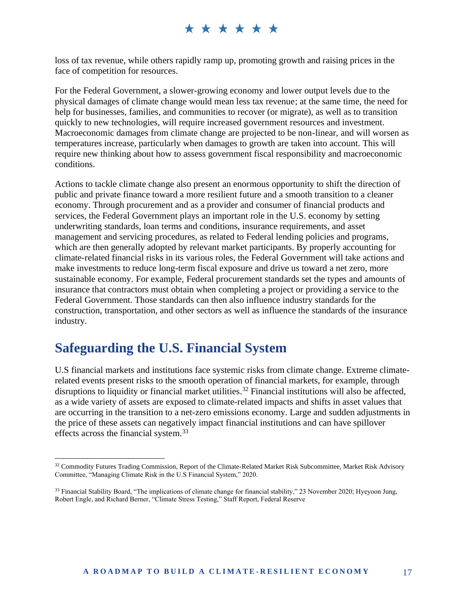loss of tax revenue, while others rapidly ramp up, promoting growth and raising prices in the face of competition for resources.

For the Federal Government, a slower-growing economy and lower output levels due to the physical damages of climate change would mean less tax revenue; at the same time, the need for help for businesses, families, and communities to recover (or migrate), as well as to transition quickly to new technologies, will require increased government resources and investment. Macroeconomic damages from climate change are projected to be non-linear, and will worsen as temperatures increase, particularly when damages to growth are taken into account. This will require new thinking about how to assess government fiscal responsibility and macroeconomic conditions.

Actions to tackle climate change also present an enormous opportunity to shift the direction of public and private finance toward a more resilient future and a smooth transition to a cleaner economy. Through procurement and as a provider and consumer of financial products and services, the Federal Government plays an important role in the U.S. economy by setting underwriting standards, loan terms and conditions, insurance requirements, and asset management and servicing procedures, as related to Federal lending policies and programs, which are then generally adopted by relevant market participants. By properly accounting for climate-related financial risks in its various roles, the Federal Government will take actions and make investments to reduce long-term fiscal exposure and drive us toward a net zero, more sustainable economy. For example, Federal procurement standards set the types and amounts of insurance that contractors must obtain when completing a project or providing a service to the Federal Government. Those standards can then also influence industry standards for the construction, transportation, and other sectors as well as influence the standards of the insurance industry.

#### **Safeguarding the U.S. Financial System**

U.S financial markets and institutions face systemic risks from climate change. Extreme climaterelated events present risks to the smooth operation of financial markets, for example, through disruptions to liquidity or financial market utilities.<sup>32</sup> Financial institutions will also be affected, as a wide variety of assets are exposed to climate-related impacts and shifts in asset values that are occurring in the transition to a net-zero emissions economy. Large and sudden adjustments in the price of these assets can negatively impact financial institutions and can have spillover effects across the financial system.<sup>33</sup>

<sup>&</sup>lt;sup>32</sup> Commodity Futures Trading Commission, Report of the Climate-Related Market Risk Subcommittee, Market Risk Advisory Committee, "Managing Climate Risk in the U.S Financial System," 2020.

<sup>33</sup> Financial Stability Board, "The implications of climate change for financial stability," 23 November 2020; Hyeyoon Jung, Robert Engle, and Richard Berner, "Climate Stress Testing," Staff Report, Federal Reserve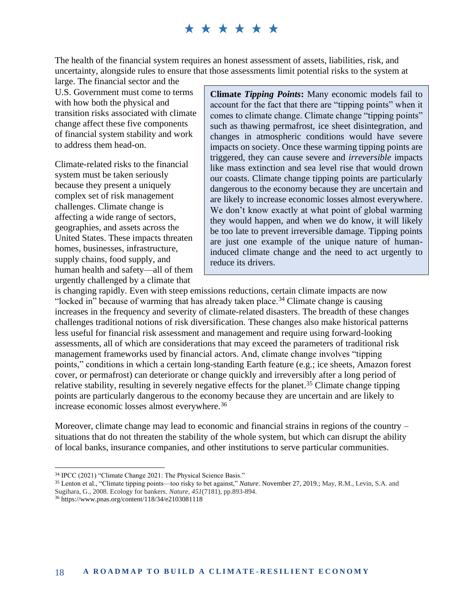The health of the financial system requires an honest assessment of assets, liabilities, risk, and uncertainty, alongside rules to ensure that those assessments limit potential risks to the system at

large. The financial sector and the U.S. Government must come to terms with how both the physical and transition risks associated with climate change affect these five components of financial system stability and work to address them head-on.

Climate-related risks to the financial system must be taken seriously because they present a uniquely complex set of risk management challenges. Climate change is affecting a wide range of sectors, geographies, and assets across the United States. These impacts threaten homes, businesses, infrastructure, supply chains, food supply, and human health and safety—all of them urgently challenged by a climate that

**Climate** *Tipping Points***:** Many economic models fail to account for the fact that there are "tipping points" when it comes to climate change. Climate change "tipping points" such as thawing permafrost, ice sheet disintegration, and changes in atmospheric conditions would have severe impacts on society. Once these warming tipping points are triggered, they can cause severe and *irreversible* impacts like mass extinction and sea level rise that would drown our coasts. Climate change tipping points are particularly dangerous to the economy because they are uncertain and are likely to increase economic losses almost everywhere. We don't know exactly at what point of global warming they would happen, and when we do know, it will likely be too late to prevent irreversible damage. Tipping points are just one example of the unique nature of humaninduced climate change and the need to act urgently to reduce its drivers.

is changing rapidly. Even with steep emissions reductions, certain climate impacts are now "locked in" because of warming that has already taken place.<sup>34</sup> Climate change is causing increases in the frequency and severity of climate-related disasters. The breadth of these changes challenges traditional notions of risk diversification. These changes also make historical patterns less useful for financial risk assessment and management and require using forward-looking assessments, all of which are considerations that may exceed the parameters of traditional risk management frameworks used by financial actors. And, climate change involves "tipping points," conditions in which a certain long-standing Earth feature (e.g.; ice sheets, Amazon forest cover, or permafrost) can deteriorate or change quickly and irreversibly after a long period of relative stability, resulting in severely negative effects for the planet.<sup>35</sup> Climate change tipping points are particularly dangerous to the economy because they are uncertain and are likely to increase economic losses almost everywhere.<sup>36</sup>

Moreover, climate change may lead to economic and financial strains in regions of the country – situations that do not threaten the stability of the whole system, but which can disrupt the ability of local banks, insurance companies, and other institutions to serve particular communities.

<sup>34</sup> IPCC (2021) "Climate Change 2021: The Physical Science Basis."

<sup>35</sup> Lenton et al., "Climate tipping points—too risky to bet against," *Nature*. November 27, 2019.; May, R.M., Levin, S.A. and Sugihara, G., 2008. Ecology for bankers. *Nature*, *451*(7181), pp.893-894.

<sup>36</sup> https://www.pnas.org/content/118/34/e2103081118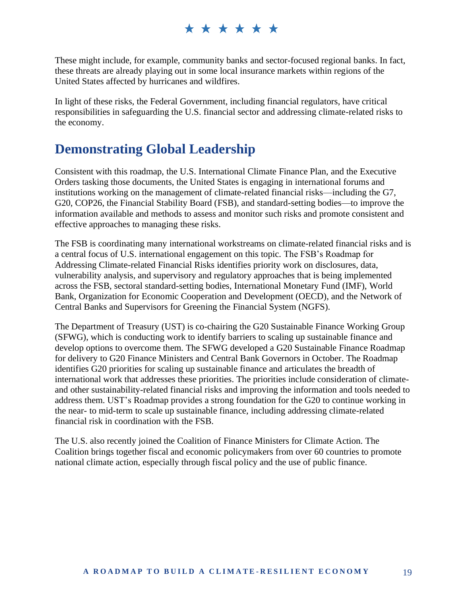These might include, for example, community banks and sector-focused regional banks. In fact, these threats are already playing out in some local insurance markets within regions of the United States affected by hurricanes and wildfires.

In light of these risks, the Federal Government, including financial regulators, have critical responsibilities in safeguarding the U.S. financial sector and addressing climate-related risks to the economy.

### **Demonstrating Global Leadership**

Consistent with this roadmap, the U.S. International Climate Finance Plan, and the Executive Orders tasking those documents, the United States is engaging in international forums and institutions working on the management of climate-related financial risks—including the G7, G20, COP26, the Financial Stability Board (FSB), and standard-setting bodies—to improve the information available and methods to assess and monitor such risks and promote consistent and effective approaches to managing these risks.

The FSB is coordinating many international workstreams on climate-related financial risks and is a central focus of U.S. international engagement on this topic. The FSB's Roadmap for Addressing Climate-related Financial Risks identifies priority work on disclosures, data, vulnerability analysis, and supervisory and regulatory approaches that is being implemented across the FSB, sectoral standard-setting bodies, International Monetary Fund (IMF), World Bank, Organization for Economic Cooperation and Development (OECD), and the Network of Central Banks and Supervisors for Greening the Financial System (NGFS).

The Department of Treasury (UST) is co-chairing the G20 Sustainable Finance Working Group (SFWG), which is conducting work to identify barriers to scaling up sustainable finance and develop options to overcome them. The SFWG developed a G20 Sustainable Finance Roadmap for delivery to G20 Finance Ministers and Central Bank Governors in October. The Roadmap identifies G20 priorities for scaling up sustainable finance and articulates the breadth of international work that addresses these priorities. The priorities include consideration of climateand other sustainability-related financial risks and improving the information and tools needed to address them. UST's Roadmap provides a strong foundation for the G20 to continue working in the near- to mid-term to scale up sustainable finance, including addressing climate-related financial risk in coordination with the FSB.

The U.S. also recently joined the Coalition of Finance Ministers for Climate Action. The Coalition brings together fiscal and economic policymakers from over 60 countries to promote national climate action, especially through fiscal policy and the use of public finance.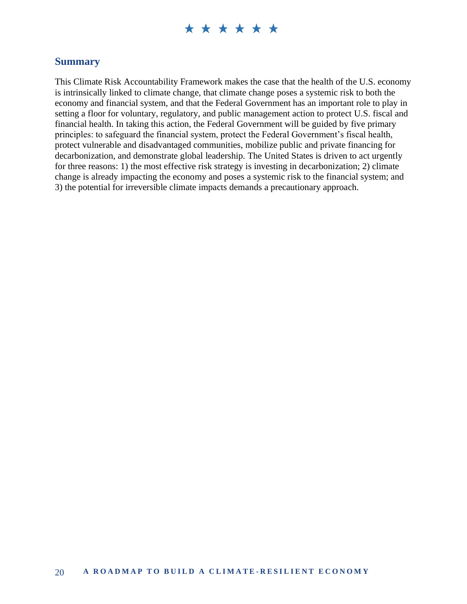#### **Summary**

This Climate Risk Accountability Framework makes the case that the health of the U.S. economy is intrinsically linked to climate change, that climate change poses a systemic risk to both the economy and financial system, and that the Federal Government has an important role to play in setting a floor for voluntary, regulatory, and public management action to protect U.S. fiscal and financial health. In taking this action, the Federal Government will be guided by five primary principles: to safeguard the financial system, protect the Federal Government's fiscal health, protect vulnerable and disadvantaged communities, mobilize public and private financing for decarbonization, and demonstrate global leadership. The United States is driven to act urgently for three reasons: 1) the most effective risk strategy is investing in decarbonization; 2) climate change is already impacting the economy and poses a systemic risk to the financial system; and 3) the potential for irreversible climate impacts demands a precautionary approach.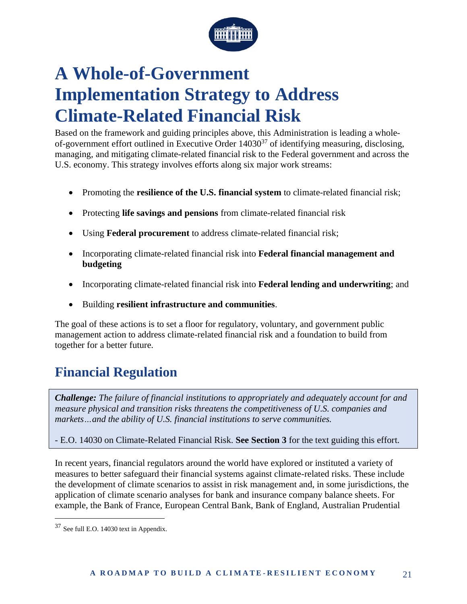

## **A Whole-of-Government Implementation Strategy to Address Climate-Related Financial Risk**

Based on the framework and guiding principles above, this Administration is leading a wholeof-government effort outlined in Executive Order  $14030^{37}$  of identifying measuring, disclosing, managing, and mitigating climate-related financial risk to the Federal government and across the U.S. economy. This strategy involves efforts along six major work streams:

- Promoting the **resilience of the U.S. financial system** to climate-related financial risk;
- Protecting **life savings and pensions** from climate-related financial risk
- Using **Federal procurement** to address climate-related financial risk;
- Incorporating climate-related financial risk into **Federal financial management and budgeting**
- Incorporating climate-related financial risk into **Federal lending and underwriting**; and
- Building **resilient infrastructure and communities**.

The goal of these actions is to set a floor for regulatory, voluntary, and government public management action to address climate-related financial risk and a foundation to build from together for a better future.

## **Financial Regulation**

*Challenge: The failure of financial institutions to appropriately and adequately account for and measure physical and transition risks threatens the competitiveness of U.S. companies and markets…and the ability of U.S. financial institutions to serve communities.* 

- E.O. 14030 on Climate-Related Financial Risk. **See Section 3** for the text guiding this effort.

In recent years, financial regulators around the world have explored or instituted a variety of measures to better safeguard their financial systems against climate-related risks. These include the development of climate scenarios to assist in risk management and, in some jurisdictions, the application of climate scenario analyses for bank and insurance company balance sheets. For example, the Bank of France, European Central Bank, Bank of England, Australian Prudential

<sup>37</sup> See full E.O. 14030 text in Appendix.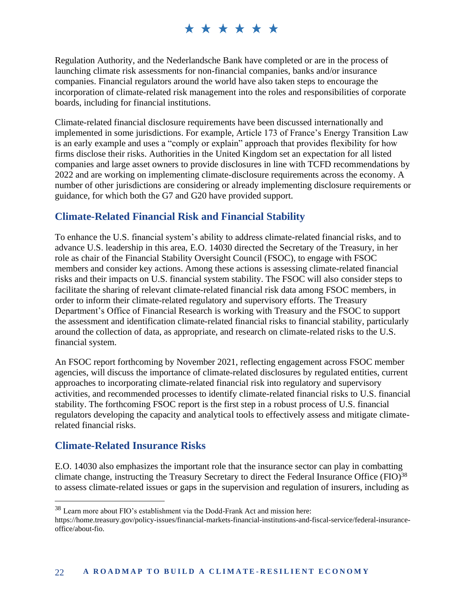Regulation Authority, and the Nederlandsche Bank have completed or are in the process of launching climate risk assessments for non-financial companies, banks and/or insurance companies. Financial regulators around the world have also taken steps to encourage the incorporation of climate-related risk management into the roles and responsibilities of corporate boards, including for financial institutions.

Climate-related financial disclosure requirements have been discussed internationally and implemented in some jurisdictions. For example, Article 173 of France's Energy Transition Law is an early example and uses a "comply or explain" approach that provides flexibility for how firms disclose their risks. Authorities in the United Kingdom set an expectation for all listed companies and large asset owners to provide disclosures in line with TCFD recommendations by 2022 and are working on implementing climate-disclosure requirements across the economy. A number of other jurisdictions are considering or already implementing disclosure requirements or guidance, for which both the G7 and G20 have provided support.

#### **Climate-Related Financial Risk and Financial Stability**

To enhance the U.S. financial system's ability to address climate-related financial risks, and to advance U.S. leadership in this area, E.O. 14030 directed the Secretary of the Treasury, in her role as chair of the Financial Stability Oversight Council (FSOC), to engage with FSOC members and consider key actions. Among these actions is assessing climate-related financial risks and their impacts on U.S. financial system stability. The FSOC will also consider steps to facilitate the sharing of relevant climate-related financial risk data among FSOC members, in order to inform their climate-related regulatory and supervisory efforts. The Treasury Department's Office of Financial Research is working with Treasury and the FSOC to support the assessment and identification climate-related financial risks to financial stability, particularly around the collection of data, as appropriate, and research on climate-related risks to the U.S. financial system.

An FSOC report forthcoming by November 2021, reflecting engagement across FSOC member agencies, will discuss the importance of climate-related disclosures by regulated entities, current approaches to incorporating climate-related financial risk into regulatory and supervisory activities, and recommended processes to identify climate-related financial risks to U.S. financial stability. The forthcoming FSOC report is the first step in a robust process of U.S. financial regulators developing the capacity and analytical tools to effectively assess and mitigate climaterelated financial risks.

#### **Climate-Related Insurance Risks**

E.O. 14030 also emphasizes the important role that the insurance sector can play in combatting climate change, instructing the Treasury Secretary to direct the Federal Insurance Office (FIO)<sup>38</sup> to assess climate-related issues or gaps in the supervision and regulation of insurers, including as

<sup>38</sup> Learn more about FIO's establishment via the Dodd-Frank Act and mission here:

https://home.treasury.gov/policy-issues/financial-markets-financial-institutions-and-fiscal-service/federal-insuranceoffice/about-fio.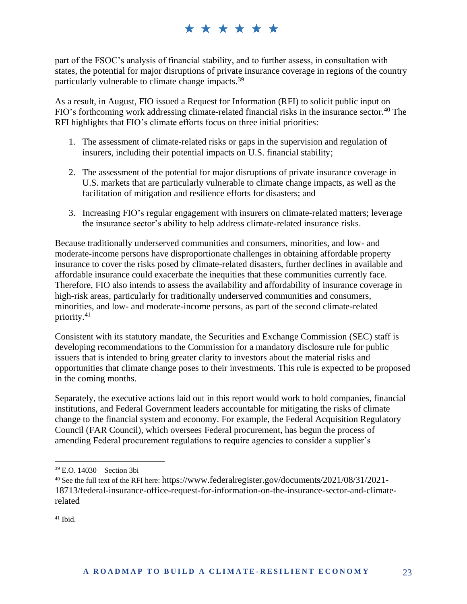part of the FSOC's analysis of financial stability, and to further assess, in consultation with states, the potential for major disruptions of private insurance coverage in regions of the country particularly vulnerable to climate change impacts.<sup>39</sup>

As a result, in August, FIO issued a Request for Information (RFI) to solicit public input on FIO's forthcoming work addressing climate-related financial risks in the insurance sector.<sup>40</sup> The RFI highlights that FIO's climate efforts focus on three initial priorities:

- 1. The assessment of climate-related risks or gaps in the supervision and regulation of insurers, including their potential impacts on U.S. financial stability;
- 2. The assessment of the potential for major disruptions of private insurance coverage in U.S. markets that are particularly vulnerable to climate change impacts, as well as the facilitation of mitigation and resilience efforts for disasters; and
- 3. Increasing FIO's regular engagement with insurers on climate-related matters; leverage the insurance sector's ability to help address climate-related insurance risks.

Because traditionally underserved communities and consumers, minorities, and low- and moderate-income persons have disproportionate challenges in obtaining affordable property insurance to cover the risks posed by climate-related disasters, further declines in available and affordable insurance could exacerbate the inequities that these communities currently face. Therefore, FIO also intends to assess the availability and affordability of insurance coverage in high-risk areas, particularly for traditionally underserved communities and consumers, minorities, and low- and moderate-income persons, as part of the second climate-related priority. 41

Consistent with its statutory mandate, the Securities and Exchange Commission (SEC) staff is developing recommendations to the Commission for a mandatory disclosure rule for public issuers that is intended to bring greater clarity to investors about the material risks and opportunities that climate change poses to their investments. This rule is expected to be proposed in the coming months.

Separately, the executive actions laid out in this report would work to hold companies, financial institutions, and Federal Government leaders accountable for mitigating the risks of climate change to the financial system and economy. For example, the Federal Acquisition Regulatory Council (FAR Council), which oversees Federal procurement, has begun the process of amending Federal procurement regulations to require agencies to consider a supplier's

 $41$  Ibid.

<sup>39</sup> E.O. 14030—Section 3bi

<sup>40</sup> See the full text of the RFI here: https://www.federalregister.gov/documents/2021/08/31/2021- 18713/federal-insurance-office-request-for-information-on-the-insurance-sector-and-climaterelated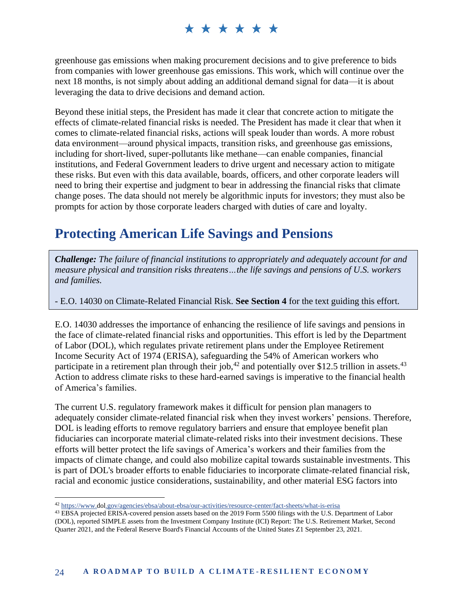greenhouse gas emissions when making procurement decisions and to give preference to bids from companies with lower greenhouse gas emissions. This work, which will continue over the next 18 months, is not simply about adding an additional demand signal for data—it is about leveraging the data to drive decisions and demand action.

Beyond these initial steps, the President has made it clear that concrete action to mitigate the effects of climate-related financial risks is needed. The President has made it clear that when it comes to climate-related financial risks, actions will speak louder than words. A more robust data environment—around physical impacts, transition risks, and greenhouse gas emissions, including for short-lived, super-pollutants like methane—can enable companies, financial institutions, and Federal Government leaders to drive urgent and necessary action to mitigate these risks. But even with this data available, boards, officers, and other corporate leaders will need to bring their expertise and judgment to bear in addressing the financial risks that climate change poses. The data should not merely be algorithmic inputs for investors; they must also be prompts for action by those corporate leaders charged with duties of care and loyalty.

## **Protecting American Life Savings and Pensions**

*Challenge: The failure of financial institutions to appropriately and adequately account for and measure physical and transition risks threatens…the life savings and pensions of U.S. workers and families.*

- E.O. 14030 on Climate-Related Financial Risk. **See Section 4** for the text guiding this effort.

E.O. 14030 addresses the importance of enhancing the resilience of life savings and pensions in the face of climate-related financial risks and opportunities. This effort is led by the Department of Labor (DOL), which regulates private retirement plans under the Employee Retirement Income Security Act of 1974 (ERISA), safeguarding the 54% of American workers who participate in a retirement plan through their job,<sup>42</sup> and potentially over \$12.5 trillion in assets.<sup>43</sup> Action to address climate risks to these hard-earned savings is imperative to the financial health of America's families.

The current U.S. regulatory framework makes it difficult for pension plan managers to adequately consider climate-related financial risk when they invest workers' pensions. Therefore, DOL is leading efforts to remove regulatory barriers and ensure that employee benefit plan fiduciaries can incorporate material climate-related risks into their investment decisions. These efforts will better protect the life savings of America's workers and their families from the impacts of climate change, and could also mobilize capital towards sustainable investments. This is part of DOL's broader efforts to enable fiduciaries to incorporate climate-related financial risk, racial and economic justice considerations, sustainability, and other material ESG factors into

<sup>42</sup> <https://www.dol.gov/agencies/ebsa/about-ebsa/our-activities/resource-center/fact-sheets/what-is-erisa>

<sup>&</sup>lt;sup>43</sup> EBSA projected ERISA-covered pension assets based on the 2019 Form 5500 filings with the U.S. Department of Labor (DOL), reported SIMPLE assets from the Investment Company Institute (ICI) Report: The U.S. Retirement Market, Second Quarter 2021, and the Federal Reserve Board's Financial Accounts of the United States Z1 September 23, 2021.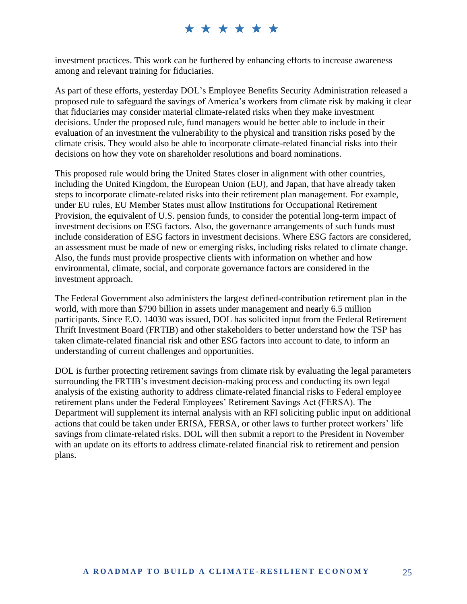investment practices. This work can be furthered by enhancing efforts to increase awareness among and relevant training for fiduciaries.

As part of these efforts, yesterday DOL's Employee Benefits Security Administration released a proposed rule to safeguard the savings of America's workers from climate risk by making it clear that fiduciaries may consider material climate-related risks when they make investment decisions. Under the proposed rule, fund managers would be better able to include in their evaluation of an investment the vulnerability to the physical and transition risks posed by the climate crisis. They would also be able to incorporate climate-related financial risks into their decisions on how they vote on shareholder resolutions and board nominations.

This proposed rule would bring the United States closer in alignment with other countries, including the United Kingdom, the European Union (EU), and Japan, that have already taken steps to incorporate climate-related risks into their retirement plan management. For example, under EU rules, EU Member States must allow Institutions for Occupational Retirement Provision, the equivalent of U.S. pension funds, to consider the potential long-term impact of investment decisions on ESG factors. Also, the governance arrangements of such funds must include consideration of ESG factors in investment decisions. Where ESG factors are considered, an assessment must be made of new or emerging risks, including risks related to climate change. Also, the funds must provide prospective clients with information on whether and how environmental, climate, social, and corporate governance factors are considered in the investment approach.

The Federal Government also administers the largest defined-contribution retirement plan in the world, with more than \$790 billion in assets under management and nearly 6.5 million participants. Since E.O. 14030 was issued, DOL has solicited input from the Federal Retirement Thrift Investment Board (FRTIB) and other stakeholders to better understand how the TSP has taken climate-related financial risk and other ESG factors into account to date, to inform an understanding of current challenges and opportunities.

DOL is further protecting retirement savings from climate risk by evaluating the legal parameters surrounding the FRTIB's investment decision-making process and conducting its own legal analysis of the existing authority to address climate-related financial risks to Federal employee retirement plans under the Federal Employees' Retirement Savings Act (FERSA). The Department will supplement its internal analysis with an RFI soliciting public input on additional actions that could be taken under ERISA, FERSA, or other laws to further protect workers' life savings from climate-related risks. DOL will then submit a report to the President in November with an update on its efforts to address climate-related financial risk to retirement and pension plans.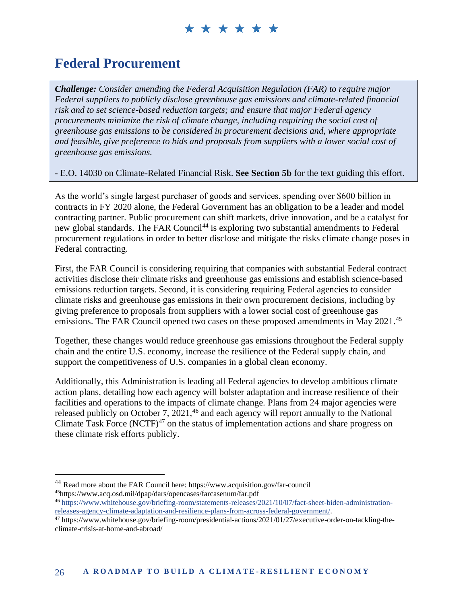### **Federal Procurement**

*Challenge: Consider amending the Federal Acquisition Regulation (FAR) to require major Federal suppliers to publicly disclose greenhouse gas emissions and climate-related financial risk and to set science-based reduction targets; and ensure that major Federal agency procurements minimize the risk of climate change, including requiring the social cost of greenhouse gas emissions to be considered in procurement decisions and, where appropriate and feasible, give preference to bids and proposals from suppliers with a lower social cost of greenhouse gas emissions.*

- E.O. 14030 on Climate-Related Financial Risk. **See Section 5b** for the text guiding this effort.

As the world's single largest purchaser of goods and services, spending over \$600 billion in contracts in FY 2020 alone, the Federal Government has an obligation to be a leader and model contracting partner. Public procurement can shift markets, drive innovation, and be a catalyst for new global standards. The FAR Council<sup>44</sup> is exploring two substantial amendments to Federal procurement regulations in order to better disclose and mitigate the risks climate change poses in Federal contracting.

First, the FAR Council is considering requiring that companies with substantial Federal contract activities disclose their climate risks and greenhouse gas emissions and establish science-based emissions reduction targets. Second, it is considering requiring Federal agencies to consider climate risks and greenhouse gas emissions in their own procurement decisions, including by giving preference to proposals from suppliers with a lower social cost of greenhouse gas emissions. The FAR Council opened two cases on these proposed amendments in May 2021.<sup>45</sup>

Together, these changes would reduce greenhouse gas emissions throughout the Federal supply chain and the entire U.S. economy, increase the resilience of the Federal supply chain, and support the competitiveness of U.S. companies in a global clean economy.

Additionally, this Administration is leading all Federal agencies to develop ambitious climate action plans, detailing how each agency will bolster adaptation and increase resilience of their facilities and operations to the impacts of climate change. Plans from 24 major agencies were released publicly on October 7,  $2021<sup>46</sup>$  and each agency will report annually to the National Climate Task Force  $(NCTF)^{47}$  on the status of implementation actions and share progress on these climate risk efforts publicly.

<sup>44</sup> Read more about the FAR Council here: https://www.acquisition.gov/far-council <sup>45</sup>https://www.acq.osd.mil/dpap/dars/opencases/farcasenum/far.pdf

<sup>46</sup> [https://www.whitehouse.gov/briefing-room/statements-releases/2021/10/07/fact-sheet-biden-administration](https://www.whitehouse.gov/briefing-room/statements-releases/2021/10/07/fact-sheet-biden-administration-releases-agency-climate-adaptation-and-resilience-plans-from-across-federal-government/)[releases-agency-climate-adaptation-and-resilience-plans-from-across-federal-government/.](https://www.whitehouse.gov/briefing-room/statements-releases/2021/10/07/fact-sheet-biden-administration-releases-agency-climate-adaptation-and-resilience-plans-from-across-federal-government/)

<sup>47</sup> https://www.whitehouse.gov/briefing-room/presidential-actions/2021/01/27/executive-order-on-tackling-theclimate-crisis-at-home-and-abroad/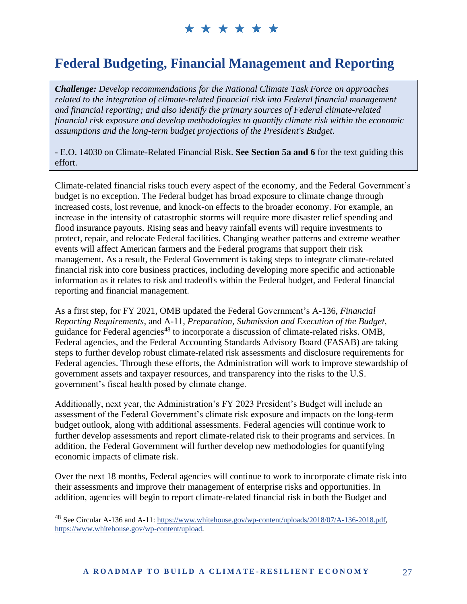### **Federal Budgeting, Financial Management and Reporting**

*Challenge: Develop recommendations for the National Climate Task Force on approaches related to the integration of climate-related financial risk into Federal financial management and financial reporting; and also identify the primary sources of Federal climate-related financial risk exposure and develop methodologies to quantify climate risk within the economic assumptions and the long-term budget projections of the President's Budget.* 

- E.O. 14030 on Climate-Related Financial Risk. **See Section 5a and 6** for the text guiding this effort.

Climate-related financial risks touch every aspect of the economy, and the Federal Government's budget is no exception. The Federal budget has broad exposure to climate change through increased costs, lost revenue, and knock-on effects to the broader economy. For example, an increase in the intensity of catastrophic storms will require more disaster relief spending and flood insurance payouts. Rising seas and heavy rainfall events will require investments to protect, repair, and relocate Federal facilities. Changing weather patterns and extreme weather events will affect American farmers and the Federal programs that support their risk management. As a result, the Federal Government is taking steps to integrate climate-related financial risk into core business practices, including developing more specific and actionable information as it relates to risk and tradeoffs within the Federal budget, and Federal financial reporting and financial management.

As a first step, for FY 2021, OMB updated the Federal Government's A-136, *Financial Reporting Requirements*, and A-11, *Preparation, Submission and Execution of the Budget*, guidance for Federal agencies<sup>48</sup> to incorporate a discussion of climate-related risks. OMB, Federal agencies, and the Federal Accounting Standards Advisory Board (FASAB) are taking steps to further develop robust climate-related risk assessments and disclosure requirements for Federal agencies. Through these efforts, the Administration will work to improve stewardship of government assets and taxpayer resources, and transparency into the risks to the U.S. government's fiscal health posed by climate change.

Additionally, next year, the Administration's FY 2023 President's Budget will include an assessment of the Federal Government's climate risk exposure and impacts on the long-term budget outlook, along with additional assessments. Federal agencies will continue work to further develop assessments and report climate-related risk to their programs and services. In addition, the Federal Government will further develop new methodologies for quantifying economic impacts of climate risk.

Over the next 18 months, Federal agencies will continue to work to incorporate climate risk into their assessments and improve their management of enterprise risks and opportunities. In addition, agencies will begin to report climate-related financial risk in both the Budget and

<sup>48</sup> See Circular A-136 and A-11: [https://www.whitehouse.gov/wp-content/uploads/2018/07/A-136-2018.pdf,](https://www.whitehouse.gov/wp-content/uploads/2018/07/A-136-2018.pdf) [https://www.whitehouse.gov/wp-content/upload.](https://www.whitehouse.gov/wp-content/upload)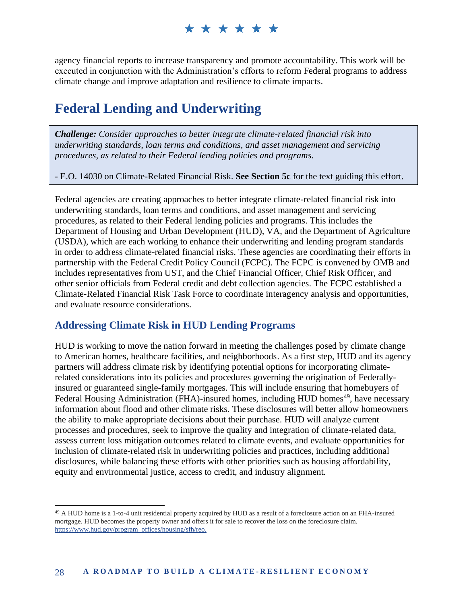agency financial reports to increase transparency and promote accountability. This work will be executed in conjunction with the Administration's efforts to reform Federal programs to address climate change and improve adaptation and resilience to climate impacts.

#### **Federal Lending and Underwriting**

*Challenge: Consider approaches to better integrate climate-related financial risk into underwriting standards, loan terms and conditions, and asset management and servicing procedures, as related to their Federal lending policies and programs.*

- E.O. 14030 on Climate-Related Financial Risk. **See Section 5c** for the text guiding this effort.

Federal agencies are creating approaches to better integrate climate-related financial risk into underwriting standards, loan terms and conditions, and asset management and servicing procedures, as related to their Federal lending policies and programs. This includes the Department of Housing and Urban Development (HUD), VA, and the Department of Agriculture (USDA), which are each working to enhance their underwriting and lending program standards in order to address climate-related financial risks. These agencies are coordinating their efforts in partnership with the Federal Credit Policy Council (FCPC). The FCPC is convened by OMB and includes representatives from UST, and the Chief Financial Officer, Chief Risk Officer, and other senior officials from Federal credit and debt collection agencies. The FCPC established a Climate-Related Financial Risk Task Force to coordinate interagency analysis and opportunities, and evaluate resource considerations.

#### **Addressing Climate Risk in HUD Lending Programs**

HUD is working to move the nation forward in meeting the challenges posed by climate change to American homes, healthcare facilities, and neighborhoods. As a first step, HUD and its agency partners will address climate risk by identifying potential options for incorporating climaterelated considerations into its policies and procedures governing the origination of Federallyinsured or guaranteed single-family mortgages. This will include ensuring that homebuyers of Federal Housing Administration (FHA)-insured homes, including HUD homes<sup>49</sup>, have necessary information about flood and other climate risks. These disclosures will better allow homeowners the ability to make appropriate decisions about their purchase. HUD will analyze current processes and procedures, seek to improve the quality and integration of climate-related data, assess current loss mitigation outcomes related to climate events, and evaluate opportunities for inclusion of climate-related risk in underwriting policies and practices, including additional disclosures, while balancing these efforts with other priorities such as housing affordability, equity and environmental justice, access to credit, and industry alignment.

<sup>49</sup> A HUD home is a 1-to-4 unit residential property acquired by HUD as a result of a foreclosure action on an FHA-insured mortgage. HUD becomes the property owner and offers it for sale to recover the loss on the foreclosure claim. [https://www.hud.gov/program\\_offices/housing/sfh/reo.](https://www.hud.gov/program_offices/housing/sfh/reo.)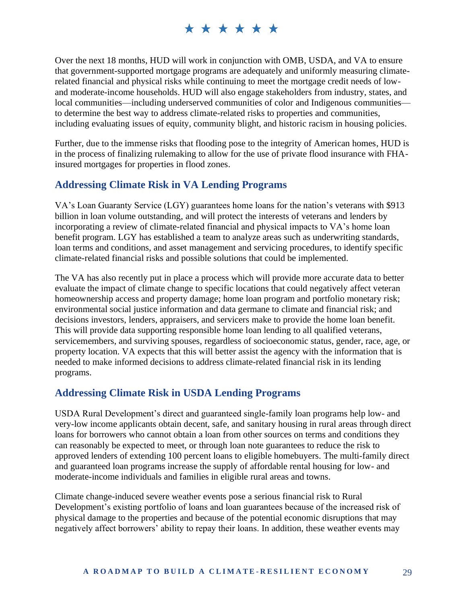Over the next 18 months, HUD will work in conjunction with OMB, USDA, and VA to ensure that government-supported mortgage programs are adequately and uniformly measuring climaterelated financial and physical risks while continuing to meet the mortgage credit needs of lowand moderate-income households. HUD will also engage stakeholders from industry, states, and local communities—including underserved communities of color and Indigenous communities to determine the best way to address climate-related risks to properties and communities, including evaluating issues of equity, community blight, and historic racism in housing policies.

Further, due to the immense risks that flooding pose to the integrity of American homes, HUD is in the process of finalizing rulemaking to allow for the use of private flood insurance with FHAinsured mortgages for properties in flood zones.

#### **Addressing Climate Risk in VA Lending Programs**

VA's Loan Guaranty Service (LGY) guarantees home loans for the nation's veterans with \$913 billion in loan volume outstanding, and will protect the interests of veterans and lenders by incorporating a review of climate-related financial and physical impacts to VA's home loan benefit program. LGY has established a team to analyze areas such as underwriting standards, loan terms and conditions, and asset management and servicing procedures, to identify specific climate-related financial risks and possible solutions that could be implemented.

The VA has also recently put in place a process which will provide more accurate data to better evaluate the impact of climate change to specific locations that could negatively affect veteran homeownership access and property damage; home loan program and portfolio monetary risk; environmental social justice information and data germane to climate and financial risk; and decisions investors, lenders, appraisers, and servicers make to provide the home loan benefit. This will provide data supporting responsible home loan lending to all qualified veterans, servicemembers, and surviving spouses, regardless of socioeconomic status, gender, race, age, or property location. VA expects that this will better assist the agency with the information that is needed to make informed decisions to address climate-related financial risk in its lending programs.

#### **Addressing Climate Risk in USDA Lending Programs**

USDA Rural Development's direct and guaranteed single-family loan programs help low- and very-low income applicants obtain decent, safe, and sanitary housing in rural areas through direct loans for borrowers who cannot obtain a loan from other sources on terms and conditions they can reasonably be expected to meet, or through loan note guarantees to reduce the risk to approved lenders of extending 100 percent loans to eligible homebuyers. The multi-family direct and guaranteed loan programs increase the supply of affordable rental housing for low- and moderate-income individuals and families in eligible rural areas and towns.

Climate change-induced severe weather events pose a serious financial risk to Rural Development's existing portfolio of loans and loan guarantees because of the increased risk of physical damage to the properties and because of the potential economic disruptions that may negatively affect borrowers' ability to repay their loans. In addition, these weather events may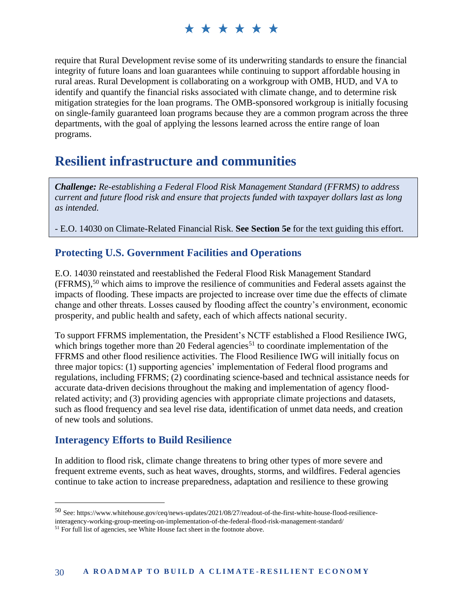require that Rural Development revise some of its underwriting standards to ensure the financial integrity of future loans and loan guarantees while continuing to support affordable housing in rural areas. Rural Development is collaborating on a workgroup with OMB, HUD, and VA to identify and quantify the financial risks associated with climate change, and to determine risk mitigation strategies for the loan programs. The OMB-sponsored workgroup is initially focusing on single-family guaranteed loan programs because they are a common program across the three departments, with the goal of applying the lessons learned across the entire range of loan programs.

### **Resilient infrastructure and communities**

*Challenge: Re-establishing a Federal Flood Risk Management Standard (FFRMS) to address current and future flood risk and ensure that projects funded with taxpayer dollars last as long as intended.*

*-* E.O. 14030 on Climate-Related Financial Risk. **See Section 5e** for the text guiding this effort.

#### **Protecting U.S. Government Facilities and Operations**

E.O. 14030 reinstated and reestablished the Federal Flood Risk Management Standard (FFRMS), <sup>50</sup> which aims to improve the resilience of communities and Federal assets against the impacts of flooding. These impacts are projected to increase over time due the effects of climate change and other threats. Losses caused by flooding affect the country's environment, economic prosperity, and public health and safety, each of which affects national security.

To support FFRMS implementation, the President's NCTF established a Flood Resilience IWG, which brings together more than 20 Federal agencies<sup>51</sup> to coordinate implementation of the FFRMS and other flood resilience activities. The Flood Resilience IWG will initially focus on three major topics: (1) supporting agencies' implementation of Federal flood programs and regulations, including FFRMS; (2) coordinating science-based and technical assistance needs for accurate data-driven decisions throughout the making and implementation of agency floodrelated activity; and (3) providing agencies with appropriate climate projections and datasets, such as flood frequency and sea level rise data, identification of unmet data needs, and creation of new tools and solutions.

#### **Interagency Efforts to Build Resilience**

In addition to flood risk, climate change threatens to bring other types of more severe and frequent extreme events, such as heat waves, droughts, storms, and wildfires. Federal agencies continue to take action to increase preparedness, adaptation and resilience to these growing

<sup>50</sup> See: https://www.whitehouse.gov/ceq/news-updates/2021/08/27/readout-of-the-first-white-house-flood-resilienceinteragency-working-group-meeting-on-implementation-of-the-federal-flood-risk-management-standard/ <sup>51</sup> For full list of agencies, see White House fact sheet in the footnote above.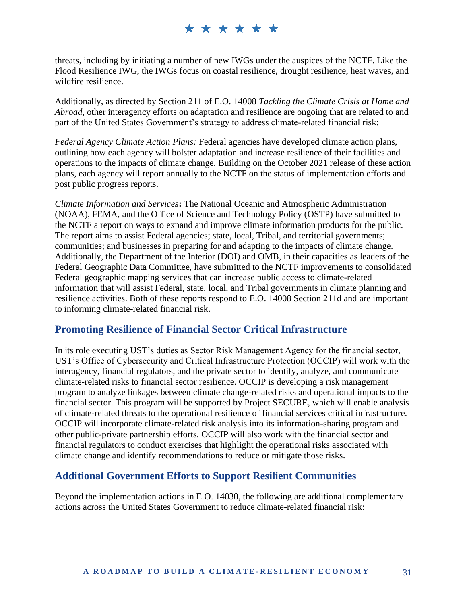threats, including by initiating a number of new IWGs under the auspices of the NCTF. Like the Flood Resilience IWG, the IWGs focus on coastal resilience, drought resilience, heat waves, and wildfire resilience.

Additionally, as directed by Section 211 of E.O. 14008 *Tackling the Climate Crisis at Home and Abroad*, other interagency efforts on adaptation and resilience are ongoing that are related to and part of the United States Government's strategy to address climate-related financial risk:

*Federal Agency Climate Action Plans:* Federal agencies have developed climate action plans, outlining how each agency will bolster adaptation and increase resilience of their facilities and operations to the impacts of climate change. Building on the October 2021 release of these action plans, each agency will report annually to the NCTF on the status of implementation efforts and post public progress reports.

*Climate Information and Services***:** The National Oceanic and Atmospheric Administration (NOAA), FEMA, and the Office of Science and Technology Policy (OSTP) have submitted to the NCTF a report on ways to expand and improve climate information products for the public. The report aims to assist Federal agencies; state, local, Tribal, and territorial governments; communities; and businesses in preparing for and adapting to the impacts of climate change. Additionally, the Department of the Interior (DOI) and OMB, in their capacities as leaders of the Federal Geographic Data Committee, have submitted to the NCTF improvements to consolidated Federal geographic mapping services that can increase public access to climate-related information that will assist Federal, state, local, and Tribal governments in climate planning and resilience activities. Both of these reports respond to E.O. 14008 Section 211d and are important to informing climate-related financial risk.

#### **Promoting Resilience of Financial Sector Critical Infrastructure**

In its role executing UST's duties as Sector Risk Management Agency for the financial sector, UST's Office of Cybersecurity and Critical Infrastructure Protection (OCCIP) will work with the interagency, financial regulators, and the private sector to identify, analyze, and communicate climate-related risks to financial sector resilience. OCCIP is developing a risk management program to analyze linkages between climate change-related risks and operational impacts to the financial sector. This program will be supported by Project SECURE, which will enable analysis of climate-related threats to the operational resilience of financial services critical infrastructure. OCCIP will incorporate climate-related risk analysis into its information-sharing program and other public-private partnership efforts. OCCIP will also work with the financial sector and financial regulators to conduct exercises that highlight the operational risks associated with climate change and identify recommendations to reduce or mitigate those risks.

#### **Additional Government Efforts to Support Resilient Communities**

Beyond the implementation actions in E.O. 14030, the following are additional complementary actions across the United States Government to reduce climate-related financial risk: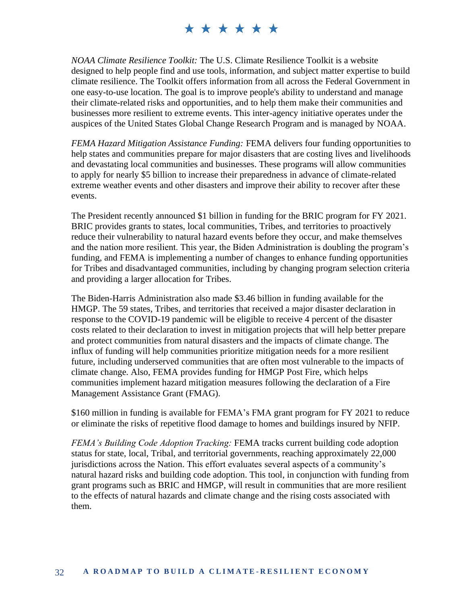*NOAA Climate Resilience Toolkit:* The U.S. Climate Resilience Toolkit is a website designed to help people find and use tools, information, and subject matter expertise to build climate resilience. The Toolkit offers information from all across the Federal Government in one easy-to-use location. The goal is to improve people's ability to understand and manage their climate-related risks and opportunities, and to help them make their communities and businesses more resilient to extreme events. This inter-agency initiative operates under the auspices of the United States Global Change Research Program and is managed by NOAA.

*FEMA Hazard Mitigation Assistance Funding:* FEMA delivers four funding opportunities to help states and communities prepare for major disasters that are costing lives and livelihoods and devastating local communities and businesses. These programs will allow communities to apply for nearly \$5 billion to increase their preparedness in advance of climate-related extreme weather events and other disasters and improve their ability to recover after these events.

The President recently announced \$1 billion in funding for the BRIC program for FY 2021. BRIC provides grants to states, local communities, Tribes, and territories to proactively reduce their vulnerability to natural hazard events before they occur, and make themselves and the nation more resilient. This year, the Biden Administration is doubling the program's funding, and FEMA is implementing a number of changes to enhance funding opportunities for Tribes and disadvantaged communities, including by changing program selection criteria and providing a larger allocation for Tribes.

The Biden-Harris Administration also made \$3.46 billion in funding available for the HMGP. The 59 states, Tribes, and territories that received a major disaster declaration in response to the COVID-19 pandemic will be eligible to receive 4 percent of the disaster costs related to their declaration to invest in mitigation projects that will help better prepare and protect communities from natural disasters and the impacts of climate change. The influx of funding will help communities prioritize mitigation needs for a more resilient future, including underserved communities that are often most vulnerable to the impacts of climate change. Also, FEMA provides funding for HMGP Post Fire, which helps communities implement hazard mitigation measures following the declaration of a Fire Management Assistance Grant (FMAG).

\$160 million in funding is available for FEMA's FMA grant program for FY 2021 to reduce or eliminate the risks of repetitive flood damage to homes and buildings insured by NFIP.

*FEMA's Building Code Adoption Tracking:* FEMA tracks current building code adoption status for state, local, Tribal, and territorial governments, reaching approximately 22,000 jurisdictions across the Nation. This effort evaluates several aspects of a community's natural hazard risks and building code adoption. This tool, in conjunction with funding from grant programs such as BRIC and HMGP, will result in communities that are more resilient to the effects of natural hazards and climate change and the rising costs associated with them.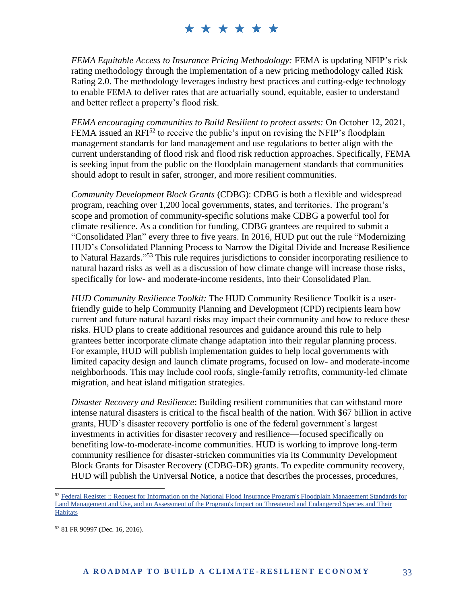*FEMA Equitable Access to Insurance Pricing Methodology:* FEMA is updating NFIP's risk rating methodology through the implementation of a new pricing methodology called Risk Rating 2.0. The methodology leverages industry best practices and cutting-edge technology to enable FEMA to deliver rates that are actuarially sound, equitable, easier to understand and better reflect a property's flood risk.

*FEMA encouraging communities to Build Resilient to protect assets:* On October 12, 2021, FEMA issued an  $RFI<sup>52</sup>$  to receive the public's input on revising the NFIP's floodplain management standards for land management and use regulations to better align with the current understanding of flood risk and flood risk reduction approaches. Specifically, FEMA is seeking input from the public on the floodplain management standards that communities should adopt to result in safer, stronger, and more resilient communities.

*Community Development Block Grants* (CDBG): CDBG is both a flexible and widespread program, reaching over 1,200 local governments, states, and territories. The program's scope and promotion of community-specific solutions make CDBG a powerful tool for climate resilience. As a condition for funding, CDBG grantees are required to submit a "Consolidated Plan" every three to five years. In 2016, HUD put out the rule "Modernizing HUD's Consolidated Planning Process to Narrow the Digital Divide and Increase Resilience to Natural Hazards." <sup>53</sup> This rule requires jurisdictions to consider incorporating resilience to natural hazard risks as well as a discussion of how climate change will increase those risks, specifically for low- and moderate-income residents, into their Consolidated Plan.

*HUD Community Resilience Toolkit:* The HUD Community Resilience Toolkit is a userfriendly guide to help Community Planning and Development (CPD) recipients learn how current and future natural hazard risks may impact their community and how to reduce these risks. HUD plans to create additional resources and guidance around this rule to help grantees better incorporate climate change adaptation into their regular planning process. For example, HUD will publish implementation guides to help local governments with limited capacity design and launch climate programs, focused on low- and moderate-income neighborhoods. This may include cool roofs, single-family retrofits, community-led climate migration, and heat island mitigation strategies.

*Disaster Recovery and Resilience*: Building resilient communities that can withstand more intense natural disasters is critical to the fiscal health of the nation. With \$67 billion in active grants, HUD's disaster recovery portfolio is one of the federal government's largest investments in activities for disaster recovery and resilience—focused specifically on benefiting low-to-moderate-income communities. HUD is working to improve long-term community resilience for disaster-stricken communities via its Community Development Block Grants for Disaster Recovery (CDBG-DR) grants. To expedite community recovery, HUD will publish the Universal Notice, a notice that describes the processes, procedures,

<sup>53</sup> 81 FR 90997 (Dec. 16, 2016).

<sup>&</sup>lt;sup>52</sup> Federal Register :: Request for Information on the National Flood Insurance Program's Floodplain Management Standards for [Land Management and Use, and an Assessment of the Program's Impact on Threatened and Endangered Species and Their](https://who.sites.eop.gov/NEC/Shared%20Documents/Climate%20Finance/Section%202%20Strategy%20Report/Final%20Deliverables/%3ehttps:/www.federalregister.gov/documents/2021/10/12/2021-22152/request-for-information-on-the-national-flood-insurance-programs-floodplain-management-standards-for%3c)  **[Habitats](https://who.sites.eop.gov/NEC/Shared%20Documents/Climate%20Finance/Section%202%20Strategy%20Report/Final%20Deliverables/%3ehttps:/www.federalregister.gov/documents/2021/10/12/2021-22152/request-for-information-on-the-national-flood-insurance-programs-floodplain-management-standards-for%3c)**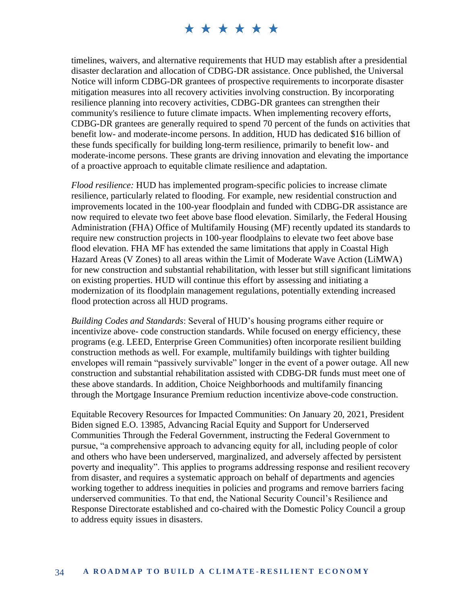timelines, waivers, and alternative requirements that HUD may establish after a presidential disaster declaration and allocation of CDBG-DR assistance. Once published, the Universal Notice will inform CDBG-DR grantees of prospective requirements to incorporate disaster mitigation measures into all recovery activities involving construction. By incorporating resilience planning into recovery activities, CDBG-DR grantees can strengthen their community's resilience to future climate impacts. When implementing recovery efforts, CDBG-DR grantees are generally required to spend 70 percent of the funds on activities that benefit low- and moderate-income persons. In addition, HUD has dedicated \$16 billion of these funds specifically for building long-term resilience, primarily to benefit low- and moderate-income persons. These grants are driving innovation and elevating the importance of a proactive approach to equitable climate resilience and adaptation.

*Flood resilience:* HUD has implemented program-specific policies to increase climate resilience, particularly related to flooding. For example, new residential construction and improvements located in the 100-year floodplain and funded with CDBG-DR assistance are now required to elevate two feet above base flood elevation. Similarly, the Federal Housing Administration (FHA) Office of Multifamily Housing (MF) recently updated its standards to require new construction projects in 100-year floodplains to elevate two feet above base flood elevation. FHA MF has extended the same limitations that apply in Coastal High Hazard Areas (V Zones) to all areas within the Limit of Moderate Wave Action (LiMWA) for new construction and substantial rehabilitation, with lesser but still significant limitations on existing properties. HUD will continue this effort by assessing and initiating a modernization of its floodplain management regulations, potentially extending increased flood protection across all HUD programs.

*Building Codes and Standards*: Several of HUD's housing programs either require or incentivize above- code construction standards. While focused on energy efficiency, these programs (e.g. LEED, Enterprise Green Communities) often incorporate resilient building construction methods as well. For example, multifamily buildings with tighter building envelopes will remain "passively survivable" longer in the event of a power outage. All new construction and substantial rehabilitation assisted with CDBG-DR funds must meet one of these above standards. In addition, Choice Neighborhoods and multifamily financing through the Mortgage Insurance Premium reduction incentivize above-code construction.

Equitable Recovery Resources for Impacted Communities: On January 20, 2021, President Biden signed E.O. 13985, Advancing Racial Equity and Support for Underserved Communities Through the Federal Government, instructing the Federal Government to pursue, "a comprehensive approach to advancing equity for all, including people of color and others who have been underserved, marginalized, and adversely affected by persistent poverty and inequality". This applies to programs addressing response and resilient recovery from disaster, and requires a systematic approach on behalf of departments and agencies working together to address inequities in policies and programs and remove barriers facing underserved communities. To that end, the National Security Council's Resilience and Response Directorate established and co-chaired with the Domestic Policy Council a group to address equity issues in disasters.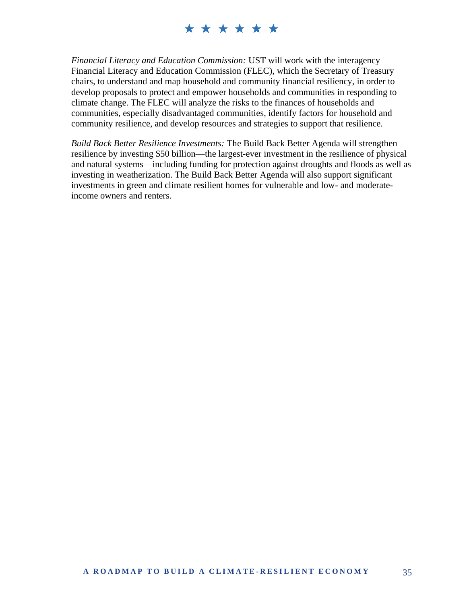*Financial Literacy and Education Commission:* UST will work with the interagency Financial Literacy and Education Commission (FLEC), which the Secretary of Treasury chairs, to understand and map household and community financial resiliency, in order to develop proposals to protect and empower households and communities in responding to climate change. The FLEC will analyze the risks to the finances of households and communities, especially disadvantaged communities, identify factors for household and community resilience, and develop resources and strategies to support that resilience.

*Build Back Better Resilience Investments:* The Build Back Better Agenda will strengthen resilience by investing \$50 billion—the largest-ever investment in the resilience of physical and natural systems—including funding for protection against droughts and floods as well as investing in weatherization. The Build Back Better Agenda will also support significant investments in green and climate resilient homes for vulnerable and low- and moderateincome owners and renters.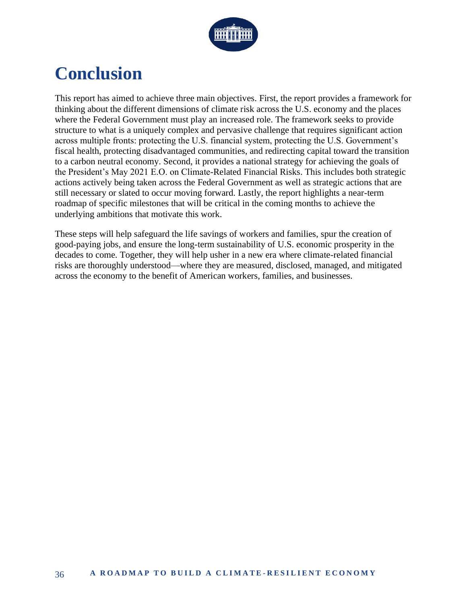

## **Conclusion**

This report has aimed to achieve three main objectives. First, the report provides a framework for thinking about the different dimensions of climate risk across the U.S. economy and the places where the Federal Government must play an increased role. The framework seeks to provide structure to what is a uniquely complex and pervasive challenge that requires significant action across multiple fronts: protecting the U.S. financial system, protecting the U.S. Government's fiscal health, protecting disadvantaged communities, and redirecting capital toward the transition to a carbon neutral economy. Second, it provides a national strategy for achieving the goals of the President's May 2021 E.O. on Climate-Related Financial Risks. This includes both strategic actions actively being taken across the Federal Government as well as strategic actions that are still necessary or slated to occur moving forward. Lastly, the report highlights a near-term roadmap of specific milestones that will be critical in the coming months to achieve the underlying ambitions that motivate this work.

These steps will help safeguard the life savings of workers and families, spur the creation of good-paying jobs, and ensure the long-term sustainability of U.S. economic prosperity in the decades to come. Together, they will help usher in a new era where climate-related financial risks are thoroughly understood—where they are measured, disclosed, managed, and mitigated across the economy to the benefit of American workers, families, and businesses.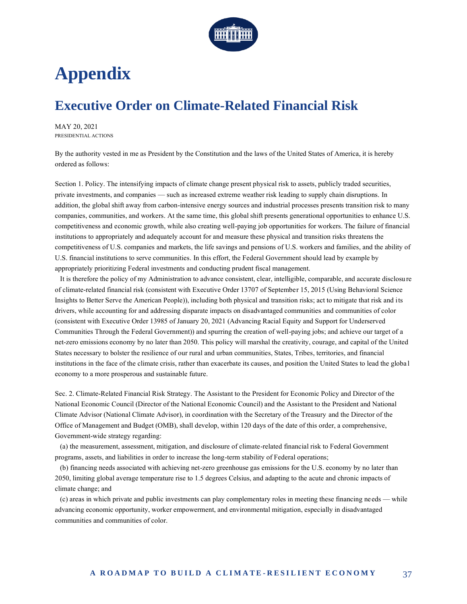

## **Appendix**

## **Executive Order on Climate-Related Financial Risk**

MAY 20, 2021 [PRESIDENTIAL ACTIONS](https://www.whitehouse.gov/briefing-room/presidential-actions/)

By the authority vested in me as President by the Constitution and the laws of the United States of America, it is hereby ordered as follows:

Section 1. Policy. The intensifying impacts of climate change present physical risk to assets, publicly traded securities, private investments, and companies — such as increased extreme weather risk leading to supply chain disruptions. In addition, the global shift away from carbon-intensive energy sources and industrial processes presents transition risk to many companies, communities, and workers. At the same time, this global shift presents generational opportunities to enhance U.S. competitiveness and economic growth, while also creating well-paying job opportunities for workers. The failure of financial institutions to appropriately and adequately account for and measure these physical and transition risks threatens the competitiveness of U.S. companies and markets, the life savings and pensions of U.S. workers and families, and the ability of U.S. financial institutions to serve communities. In this effort, the Federal Government should lead by example by appropriately prioritizing Federal investments and conducting prudent fiscal management.

 It is therefore the policy of my Administration to advance consistent, clear, intelligible, comparable, and accurate disclosure of climate-related financial risk (consistent with Executive Order 13707 of September 15, 2015 (Using Behavioral Science Insights to Better Serve the American People)), including both physical and transition risks; act to mitigate that risk and its drivers, while accounting for and addressing disparate impacts on disadvantaged communities and communities of color (consistent with Executive Order 13985 of January 20, 2021 (Advancing Racial Equity and Support for Underserved Communities Through the Federal Government)) and spurring the creation of well-paying jobs; and achieve our target of a net-zero emissions economy by no later than 2050. This policy will marshal the creativity, courage, and capital of the United States necessary to bolster the resilience of our rural and urban communities, States, Tribes, territories, and financial institutions in the face of the climate crisis, rather than exacerbate its causes, and position the United States to lead the global economy to a more prosperous and sustainable future.

Sec.2. Climate-Related Financial Risk Strategy. The Assistant to the President for Economic Policy and Director of the National Economic Council (Director of the National Economic Council) and the Assistant to the President and National Climate Advisor (National Climate Advisor), in coordination with the Secretary of the Treasury and the Director of the Office of Management and Budget (OMB), shall develop, within 120 days of the date of this order, a comprehensive, Government-wide strategy regarding:

 (a) the measurement, assessment, mitigation, and disclosure of climate-related financial risk to Federal Government programs, assets, and liabilities in order to increase the long-term stability of Federal operations;

 (b) financing needs associated with achieving net-zero greenhouse gas emissions for the U.S. economy by no later than 2050, limiting global average temperature rise to 1.5 degrees Celsius, and adapting to the acute and chronic impacts of climate change; and

 (c) areas in which private and public investments can play complementary roles in meeting these financing needs — while advancing economic opportunity, worker empowerment, and environmental mitigation, especially in disadvantaged communities and communities of color.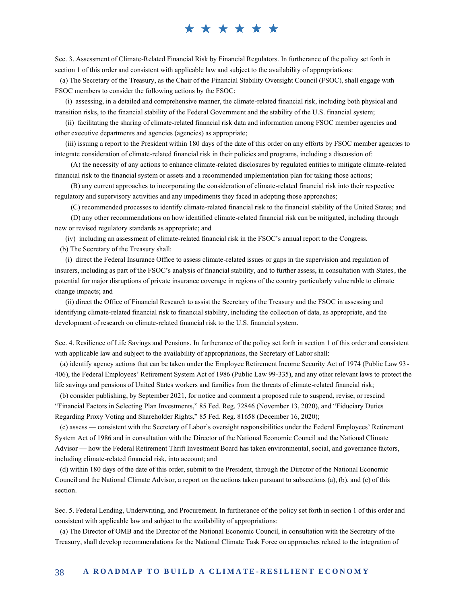Sec.3. Assessment of Climate-Related Financial Risk by Financial Regulators. In furtherance of the policy set forth in section 1 of this order and consistent with applicable law and subject to the availability of appropriations:

 (a) The Secretary of the Treasury, as the Chair of the Financial Stability Oversight Council (FSOC), shall engage with FSOC members to consider the following actions by the FSOC:

 (i) assessing, in a detailed and comprehensive manner, the climate-related financial risk, including both physical and transition risks, to the financial stability of the Federal Government and the stability of the U.S. financial system;

 (ii) facilitating the sharing of climate-related financial risk data and information among FSOC member agencies and other executive departments and agencies (agencies) as appropriate;

 (iii) issuing a report to the President within 180 days of the date of this order on any efforts by FSOC member agencies to integrate consideration of climate-related financial risk in their policies and programs, including a discussion of:

 (A) the necessity of any actions to enhance climate-related disclosures by regulated entities to mitigate climate-related financial risk to the financial system or assets and a recommended implementation plan for taking those actions;

 (B) any current approaches to incorporating the consideration of climate-related financial risk into their respective regulatory and supervisory activities and any impediments they faced in adopting those approaches;

(C) recommended processes to identify climate-related financial risk to the financial stability of the United States; and

 (D) any other recommendations on how identified climate-related financial risk can be mitigated, including through new or revised regulatory standards as appropriate; and

(iv) including an assessment of climate-related financial risk in the FSOC's annual report to the Congress.

(b) The Secretary of the Treasury shall:

 (i) direct the Federal Insurance Office to assess climate-related issues or gaps in the supervision and regulation of insurers, including as part of the FSOC's analysis of financial stability, and to further assess, in consultation with States, the potential for major disruptions of private insurance coverage in regions of the country particularly vulnerable to climate change impacts; and

 (ii)direct the Office of Financial Research to assist the Secretary of the Treasury and the FSOC in assessing and identifying climate-related financial risk to financial stability, including the collection of data, as appropriate, and the development of research on climate-related financial risk to the U.S. financial system.

Sec.4. Resilience of Life Savings and Pensions. In furtherance of the policy set forth in section 1 of this order and consistent with applicable law and subject to the availability of appropriations, the Secretary of Labor shall:

 (a) identify agency actions that can be taken under the Employee Retirement Income Security Act of 1974 (Public Law 93- 406), the Federal Employees' Retirement System Act of 1986 (Public Law 99-335), and any other relevant laws to protect the life savings and pensions of United States workers and families from the threats of climate-related financial risk;

 (b) consider publishing, by September 2021, for notice and comment a proposed rule to suspend, revise, or rescind "Financial Factors in Selecting Plan Investments," 85 Fed. Reg. 72846 (November 13, 2020), and "Fiduciary Duties Regarding Proxy Voting and Shareholder Rights," 85 Fed. Reg. 81658 (December 16, 2020);

 (c) assess — consistent with the Secretary of Labor's oversight responsibilities under the Federal Employees' Retirement System Act of 1986 and in consultation with the Director of the National Economic Council and the National Climate Advisor — how the Federal Retirement Thrift Investment Board has taken environmental, social, and governance factors, including climate-related financial risk, into account; and

 (d) within 180 days of the date of this order, submit to the President, through the Director of the National Economic Council and the National Climate Advisor, a report on the actions taken pursuant to subsections (a), (b), and (c) of this section.

Sec.5. Federal Lending, Underwriting, and Procurement. In furtherance of the policy set forth in section 1 of this order and consistent with applicable law and subject to the availability of appropriations:

 (a) The Director of OMB and the Director of the National Economic Council, in consultation with the Secretary of the Treasury, shall develop recommendations for the National Climate Task Force on approaches related to the integration of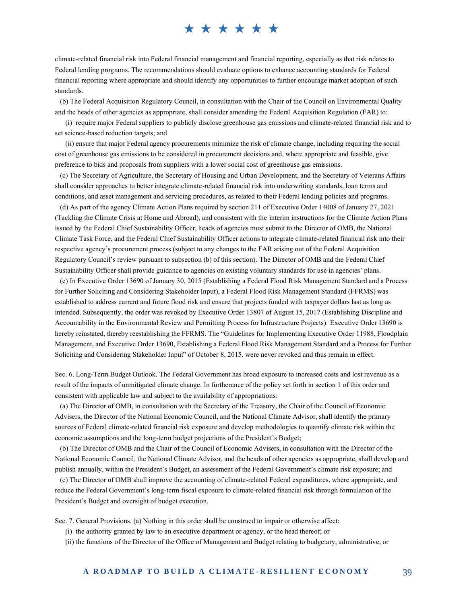climate-related financial risk into Federal financial management and financial reporting, especially as that risk relates to Federal lending programs. The recommendations should evaluate options to enhance accounting standards for Federal financial reporting where appropriate and should identify any opportunities to further encourage market adoption of such standards.

 (b) The Federal Acquisition Regulatory Council, in consultation with the Chair of the Council on Environmental Quality and the heads of other agencies as appropriate, shall consider amending the Federal Acquisition Regulation (FAR) to:

 (i) require major Federal suppliers to publicly disclose greenhouse gas emissions and climate-related financial risk and to set science-based reduction targets; and

 (ii) ensure that major Federal agency procurements minimize the risk of climate change, including requiring the social cost of greenhouse gas emissions to be considered in procurement decisions and, where appropriate and feasible, give preference to bids and proposals from suppliers with a lower social cost of greenhouse gas emissions.

 (c) The Secretary of Agriculture, the Secretary of Housing and Urban Development, and the Secretary of Veterans Affairs shall consider approaches to better integrate climate-related financial risk into underwriting standards, loan terms and conditions, and asset management and servicing procedures, as related to their Federal lending policies and programs.

 (d) As part of the agency Climate Action Plans required by section 211 of Executive Order 14008 of January 27, 2021 (Tackling the Climate Crisis at Home and Abroad), and consistent with the interim instructions for the Climate Action Plans issued by the Federal Chief Sustainability Officer, heads of agencies must submit to the Director of OMB, the National Climate Task Force, and the Federal Chief Sustainability Officer actions to integrate climate-related financial risk into their respective agency's procurement process (subject to any changes to the FAR arising out of the Federal Acquisition Regulatory Council's review pursuant to subsection (b) of this section). The Director of OMB and the Federal Chief Sustainability Officer shall provide guidance to agencies on existing voluntary standards for use in agencies' plans.

 (e) In Executive Order 13690 of January 30, 2015 (Establishing a Federal Flood Risk Management Standard and a Process for Further Soliciting and Considering Stakeholder Input), a Federal Flood Risk Management Standard (FFRMS) was established to address current and future flood risk and ensure that projects funded with taxpayer dollars last as long as intended. Subsequently, the order was revoked by Executive Order 13807 of August 15, 2017 (Establishing Discipline and Accountability in the Environmental Review and Permitting Process for Infrastructure Projects). Executive Order 13690 is hereby reinstated, thereby reestablishing the FFRMS. The "Guidelines for Implementing Executive Order 11988, Floodplain Management, and Executive Order 13690, Establishing a Federal Flood Risk Management Standard and a Process for Further Soliciting and Considering Stakeholder Input" of October 8, 2015, were never revoked and thus remain in effect.

Sec.6. Long-Term Budget Outlook. The Federal Government has broad exposure to increased costs and lost revenue as a result of the impacts of unmitigated climate change. In furtherance of the policy set forth in section 1 of this order and consistent with applicable law and subject to the availability of appropriations:

 (a) The Director of OMB, in consultation with the Secretary of the Treasury, the Chair of the Council of Economic Advisers, the Director of the National Economic Council, and the National Climate Advisor, shall identify the primary sources of Federal climate-related financial risk exposure and develop methodologies to quantify climate risk within the economic assumptions and the long-term budget projections of the President's Budget;

 (b) The Director of OMB and the Chair of the Council of Economic Advisers, in consultation with the Director of the National Economic Council, the National Climate Advisor, and the heads of other agencies as appropriate, shall develop and publish annually, within the President's Budget, an assessment of the Federal Government's climate risk exposure; and

 (c) The Director of OMB shall improve the accounting of climate-related Federal expenditures, where appropriate, and reduce the Federal Government's long-term fiscal exposure to climate-related financial risk through formulation of the President's Budget and oversight of budget execution.

Sec.7. General Provisions. (a) Nothing in this order shall be construed to impair or otherwise affect:

(i) the authority granted by law to an executive department or agency, or the head thereof; or

(ii) the functions of the Director of the Office of Management and Budget relating to budgetary, administrative, or